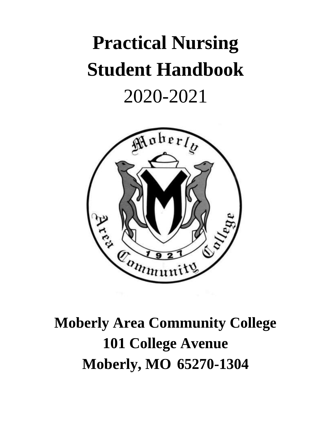# **Practical Nursing Student Handbook** 2020-2021



## **Moberly Area Community College 101 College Avenue Moberly, MO 65270-1304**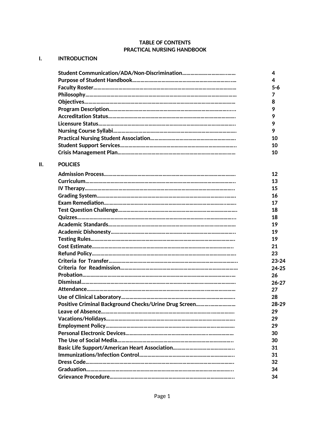## **TABLE OF CONTENTS PRACTICAL NURSING HANDBOOK**

## **I. INTRODUCTION**

**II. POLICIES**

|                                                       | 4         |
|-------------------------------------------------------|-----------|
|                                                       | 4         |
|                                                       | $5 - 6$   |
|                                                       | 7         |
|                                                       | 8         |
|                                                       | 9         |
|                                                       | 9         |
|                                                       | 9         |
|                                                       | 9         |
|                                                       | 10        |
|                                                       | 10        |
|                                                       | 10        |
| <b>POLICIES</b>                                       |           |
|                                                       | 12        |
|                                                       | 13        |
|                                                       | 15        |
|                                                       | 16        |
|                                                       | 17        |
|                                                       | 18        |
|                                                       | 18        |
|                                                       | 19        |
|                                                       | 19        |
|                                                       | 19        |
|                                                       | 21        |
|                                                       | 23        |
|                                                       | $23 - 24$ |
|                                                       | $24 - 25$ |
|                                                       | 26        |
|                                                       | $26 - 27$ |
|                                                       | 27        |
|                                                       | 28        |
| Positive Criminal Background Checks/Urine Drug Screen | $28 - 29$ |
|                                                       | 29        |
|                                                       | 29        |
|                                                       | 29        |
|                                                       | 30        |
|                                                       | 30        |
|                                                       | 31        |
|                                                       | 31        |
|                                                       | 32        |
|                                                       | 34        |
|                                                       | 34        |
|                                                       |           |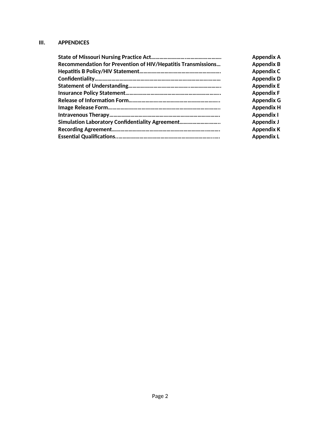## **III. APPENDICES**

|                                                                     | <b>Appendix A</b> |
|---------------------------------------------------------------------|-------------------|
| <b>Recommendation for Prevention of HIV/Hepatitis Transmissions</b> | <b>Appendix B</b> |
|                                                                     | <b>Appendix C</b> |
|                                                                     | <b>Appendix D</b> |
|                                                                     | <b>Appendix E</b> |
|                                                                     | <b>Appendix F</b> |
|                                                                     | <b>Appendix G</b> |
|                                                                     | <b>Appendix H</b> |
|                                                                     | <b>Appendix I</b> |
| Simulation Laboratory Confidentiality Agreement                     | Appendix J        |
|                                                                     | <b>Appendix K</b> |
|                                                                     | <b>Appendix L</b> |
|                                                                     |                   |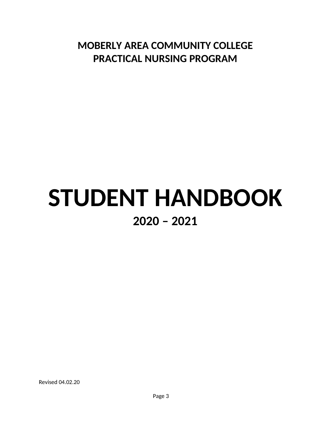**MOBERLY AREA COMMUNITY COLLEGE PRACTICAL NURSING PROGRAM**

## **STUDENT HANDBOOK 2020 – 2021**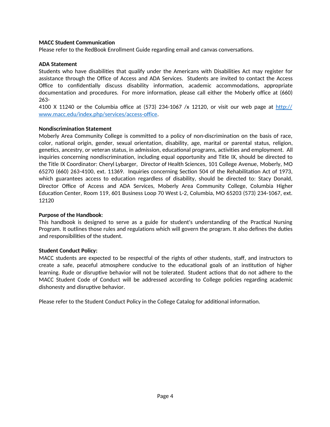#### **MACC Student Communication**

Please refer to the RedBook Enrollment Guide regarding email and canvas conversations.

#### **ADA Statement**

Students who have disabilities that qualify under the Americans with Disabilities Act may register for assistance through the Office of Access and ADA Services. Students are invited to contact the Access Office to confidentially discuss disability information, academic accommodations, appropriate documentation and procedures. For more information, please call either the Moberly office at (660) 263-

4100 X 11240 or the Columbia office at (573) 234-1067 /x 12120, or visit our web page at http:// www.macc.edu/index.php/services/access-office.

#### **Nondiscrimination Statement**

Moberly Area Community College is committed to a policy of non-discrimination on the basis of race, color, national origin, gender, sexual orientation, disability, age, marital or parental status, religion, genetics, ancestry, or veteran status, in admission, educational programs, activities and employment. All inquiries concerning nondiscrimination, including equal opportunity and Title IX, should be directed to the Title IX Coordinator: Cheryl Lybarger, Director of Health Sciences, 101 College Avenue, Moberly, MO 65270 (660) 263-4100, ext. 11369. Inquiries concerning Section 504 of the Rehabilitation Act of 1973, which guarantees access to education regardless of disability, should be directed to: Stacy Donald, Director Office of Access and ADA Services, Moberly Area Community College, Columbia Higher Education Center, Room 119, 601 Business Loop 70 West L-2, Columbia, MO 65203 (573) 234-1067, ext. 12120

#### **Purpose of the Handbook**:

This handbook is designed to serve as a guide for student's understanding of the Practical Nursing Program. It outlines those rules and regulations which will govern the program. It also defines the duties and responsibilities of the student.

#### **Student Conduct Policy:**

MACC students are expected to be respectful of the rights of other students, staff, and instructors to create a safe, peaceful atmosphere conducive to the educational goals of an institution of higher learning. Rude or disruptive behavior will not be tolerated. Student actions that do not adhere to the MACC Student Code of Conduct will be addressed according to College policies regarding academic dishonesty and disruptive behavior.

Please refer to the Student Conduct Policy in the College Catalog for additional information.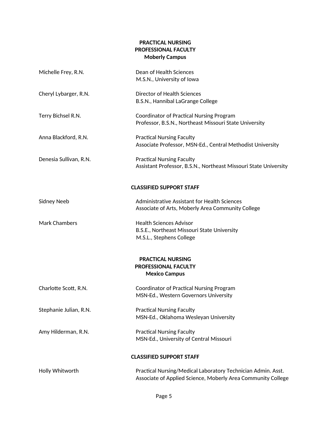## **PRACTICAL NURSING PROFESSIONAL FACULTY Moberly Campus**

| Michelle Frey, R.N.    | Dean of Health Sciences<br>M.S.N., University of Iowa                                                                        |
|------------------------|------------------------------------------------------------------------------------------------------------------------------|
| Cheryl Lybarger, R.N.  | Director of Health Sciences<br>B.S.N., Hannibal LaGrange College                                                             |
| Terry Bichsel R.N.     | Coordinator of Practical Nursing Program<br>Professor, B.S.N., Northeast Missouri State University                           |
| Anna Blackford, R.N.   | <b>Practical Nursing Faculty</b><br>Associate Professor, MSN-Ed., Central Methodist University                               |
| Denesia Sullivan, R.N. | <b>Practical Nursing Faculty</b><br>Assistant Professor, B.S.N., Northeast Missouri State University                         |
|                        | <b>CLASSIFIED SUPPORT STAFF</b>                                                                                              |
| Sidney Neeb            | Administrative Assistant for Health Sciences<br>Associate of Arts, Moberly Area Community College                            |
| <b>Mark Chambers</b>   | <b>Health Sciences Advisor</b><br>B.S.E., Northeast Missouri State University<br>M.S.L., Stephens College                    |
|                        | <b>PRACTICAL NURSING</b><br><b>PROFESSIONAL FACULTY</b><br><b>Mexico Campus</b>                                              |
| Charlotte Scott, R.N.  | Coordinator of Practical Nursing Program<br>MSN-Ed., Western Governors University                                            |
| Stephanie Julian, R.N. | <b>Practical Nursing Faculty</b><br>MSN-Ed., Oklahoma Wesleyan University                                                    |
| Amy Hilderman, R.N.    | <b>Practical Nursing Faculty</b><br>MSN-Ed., University of Central Missouri                                                  |
|                        | <b>CLASSIFIED SUPPORT STAFF</b>                                                                                              |
| Holly Whitworth        | Practical Nursing/Medical Laboratory Technician Admin. Asst.<br>Associate of Applied Science, Moberly Area Community College |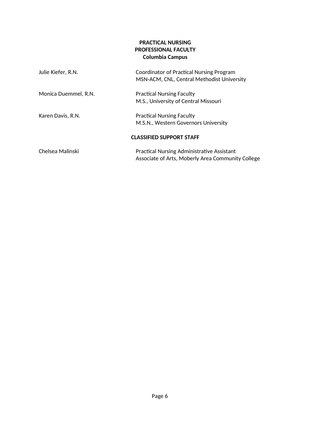## **PRACTICAL NURSING PROFESSIONAL FACULTY Columbia Campus**

| Julie Kiefer, R.N.   | Coordinator of Practical Nursing Program<br>MSN-ACM, CNL, Central Methodist University |
|----------------------|----------------------------------------------------------------------------------------|
| Monica Duemmel, R.N. | <b>Practical Nursing Faculty</b>                                                       |
|                      | M.S., University of Central Missouri                                                   |
| Karen Davis, R.N.    | <b>Practical Nursing Faculty</b>                                                       |
|                      | M.S.N., Western Governors University                                                   |
|                      | <b>CLASSIFIED SUPPORT STAFF</b>                                                        |
| Chelsea Malinski     | <b>Practical Nursing Administrative Assistant</b>                                      |
|                      | Associate of Arts, Moberly Area Community College                                      |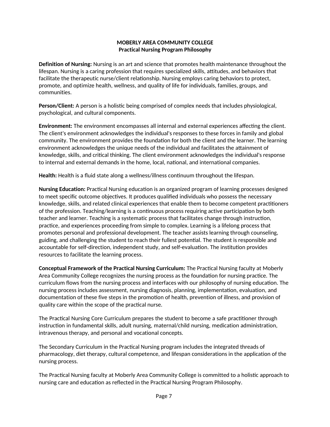## **MOBERLY AREA COMMUNITY COLLEGE Practical Nursing Program Philosophy**

**Definition of Nursing:** Nursing is an art and science that promotes health maintenance throughout the lifespan. Nursing is a caring profession that requires specialized skills, attitudes, and behaviors that facilitate the therapeutic nurse/client relationship. Nursing employs caring behaviors to protect, promote, and optimize health, wellness, and quality of life for individuals, families, groups, and communities.

**Person/Client:** A person is a holistic being comprised of complex needs that includes physiological, psychological, and cultural components.

**Environment:** The environment encompasses all internal and external experiences affecting the client. The client's environment acknowledges the individual's responses to these forces in family and global community. The environment provides the foundation for both the client and the learner. The learning environment acknowledges the unique needs of the individual and facilitates the attainment of knowledge, skills, and critical thinking. The client environment acknowledges the individual's response to internal and external demands in the home, local, national, and international companies.

**Health:** Health is a fluid state along a wellness/illness continuum throughout the lifespan.

**Nursing Education:** Practical Nursing education is an organized program of learning processes designed to meet specific outcome objectives. It produces qualified individuals who possess the necessary knowledge, skills, and related clinical experiences that enable them to become competent practitioners of the profession. Teaching/learning is a continuous process requiring active participation by both teacher and learner. Teaching is a systematic process that facilitates change through instruction, practice, and experiences proceeding from simple to complex. Learning is a lifelong process that promotes personal and professional development. The teacher assists learning through counseling, guiding, and challenging the student to reach their fullest potential. The student is responsible and accountable for self-direction, independent study, and self-evaluation. The institution provides resources to facilitate the learning process.

**Conceptual Framework of the Practical Nursing Curriculum:** The Practical Nursing faculty at Moberly Area Community College recognizes the nursing process as the foundation for nursing practice. The curriculum flows from the nursing process and interfaces with our philosophy of nursing education. The nursing process includes assessment, nursing diagnosis, planning, implementation, evaluation, and documentation of these five steps in the promotion of health, prevention of illness, and provision of quality care within the scope of the practical nurse.

The Practical Nursing Core Curriculum prepares the student to become a safe practitioner through instruction in fundamental skills, adult nursing, maternal/child nursing, medication administration, intravenous therapy, and personal and vocational concepts.

The Secondary Curriculum in the Practical Nursing program includes the integrated threads of pharmacology, diet therapy, cultural competence, and lifespan considerations in the application of the nursing process.

The Practical Nursing faculty at Moberly Area Community College is committed to a holistic approach to nursing care and education as reflected in the Practical Nursing Program Philosophy.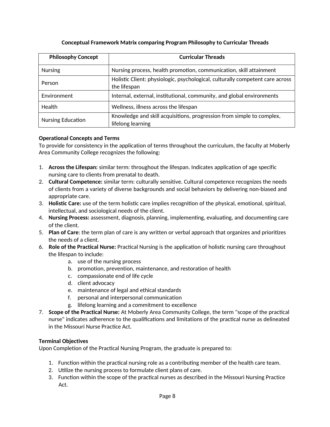| <b>Philosophy Concept</b> | <b>Curricular Threads</b>                                                                     |
|---------------------------|-----------------------------------------------------------------------------------------------|
| <b>Nursing</b>            | Nursing process, health promotion, communication, skill attainment                            |
| Person                    | Holistic Client: physiologic, psychological, culturally competent care across<br>the lifespan |
| Environment               | Internal, external, institutional, community, and global environments                         |
| Health                    | Wellness, illness across the lifespan                                                         |
| <b>Nursing Education</b>  | Knowledge and skill acquisitions, progression from simple to complex,<br>lifelong learning    |

## **Conceptual Framework Matrix comparing Program Philosophy to Curricular Threads**

## **Operational Concepts and Terms**

To provide for consistency in the application of terms throughout the curriculum, the faculty at Moberly Area Community College recognizes the following:

- 1. **Across the Lifespan:** similar term: throughout the lifespan. Indicates application of age specific nursing care to clients from prenatal to death.
- 2. **Cultural Competence:** similar term: culturally sensitive. Cultural competence recognizes the needs of clients from a variety of diverse backgrounds and social behaviors by delivering non-biased and appropriate care.
- 3. **Holistic Care:** use of the term holistic care implies recognition of the physical, emotional, spiritual, intellectual, and sociological needs of the client.
- 4. **Nursing Process:** assessment, diagnosis, planning, implementing, evaluating, and documenting care of the client.
- 5. **Plan of Care**: the term plan of care is any written or verbal approach that organizes and prioritizes the needs of a client.
- 6. **Role of the Practical Nurse:** Practical Nursing is the application of holistic nursing care throughout the lifespan to include:
	- a. use of the nursing process
	- b. promotion, prevention, maintenance, and restoration of health
	- c. compassionate end of life cycle
	- d. client advocacy
	- e. maintenance of legal and ethical standards
	- f. personal and interpersonal communication
	- g. lifelong learning and a commitment to excellence
- 7. **Scope of the Practical Nurse:** At Moberly Area Community College, the term "scope of the practical nurse" indicates adherence to the qualifications and limitations of the practical nurse as delineated in the Missouri Nurse Practice Act.

## **Terminal Objectives**

Upon Completion of the Practical Nursing Program, the graduate is prepared to:

- 1. Function within the practical nursing role as a contributing member of the health care team.
- 2. Utilize the nursing process to formulate client plans of care.
- 3. Function within the scope of the practical nurses as described in the Missouri Nursing Practice Act.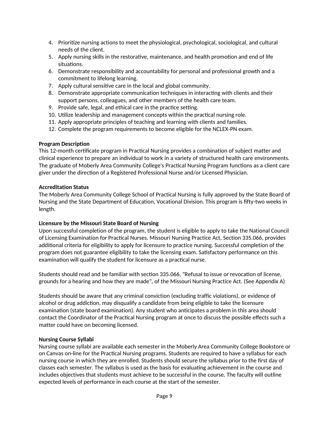- 4. Prioritize nursing actions to meet the physiological, psychological, sociological, and cultural needs of the client.
- 5. Apply nursing skills in the restorative, maintenance, and health promotion and end of life situations.
- 6. Demonstrate responsibility and accountability for personal and professional growth and a commitment to lifelong learning.
- 7. Apply cultural sensitive care in the local and global community.
- 8. Demonstrate appropriate communication techniques in interacting with clients and their support persons, colleagues, and other members of the health care team.
- 9. Provide safe, legal, and ethical care in the practice setting.
- 10. Utilize leadership and management concepts within the practical nursing role.
- 11. Apply appropriate principles of teaching and learning with clients and families.
- 12. Complete the program requirements to become eligible for the NCLEX-PN exam.

## **Program Description**

This 12-month certificate program in Practical Nursing provides a combination of subject matter and clinical experience to prepare an individual to work in a variety of structured health care environments. The graduate of Moberly Area Community College's Practical Nursing Program functions as a client care giver under the direction of a Registered Professional Nurse and/or Licensed Physician.

## **Accreditation Status**

The Moberly Area Community College School of Practical Nursing is fully approved by the State Board of Nursing and the State Department of Education, Vocational Division. This program is fifty-two weeks in length.

## **Licensure by the Missouri State Board of Nursing**

Upon successful completion of the program, the student is eligible to apply to take the National Council of Licensing Examination for Practical Nurses. Missouri Nursing Practice Act, Section 335.066, provides additional criteria for eligibility to apply for licensure to practice nursing. Successful completion of the program does not guarantee eligibility to take the licensing exam. Satisfactory performance on this examination will qualify the student for licensure as a practical nurse.

Students should read and be familiar with section 335.066, "Refusal to issue or revocation of license, grounds for a hearing and how they are made", of the Missouri Nursing Practice Act. (See Appendix A)

Students should be aware that any criminal conviction (excluding traffic violations), or evidence of alcohol or drug addiction, may disqualify a candidate from being eligible to take the licensure examination (state board examination). Any student who anticipates a problem in this area should contact the Coordinator of the Practical Nursing program at once to discuss the possible effects such a matter could have on becoming licensed.

## **Nursing Course Syllabi**

Nursing course syllabi are available each semester in the Moberly Area Community College Bookstore or on Canvas on-line for the Practical Nursing programs. Students are required to have a syllabus for each nursing course in which they are enrolled. Students should secure the syllabus prior to the first day of classes each semester. The syllabus is used as the basis for evaluating achievement in the course and includes objectives that students must achieve to be successful in the course. The faculty will outline expected levels of performance in each course at the start of the semester.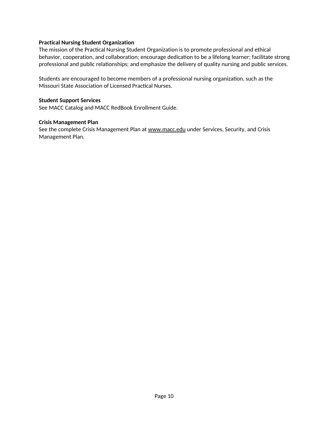#### **Practical Nursing Student Organization**

The mission of the Practical Nursing Student Organization is to promote professional and ethical behavior, cooperation, and collaboration; encourage dedication to be a lifelong learner; facilitate strong professional and public relationships; and emphasize the delivery of quality nursing and public services.

Students are encouraged to become members of a professional nursing organization, such as the Missouri State Association of Licensed Practical Nurses.

## **Student Support Services**

See MACC Catalog and MACC RedBook Enrollment Guide.

#### **Crisis Management Plan**

See the complete Crisis Management Plan at www.macc.edu under Services, Security, and Crisis Management Plan.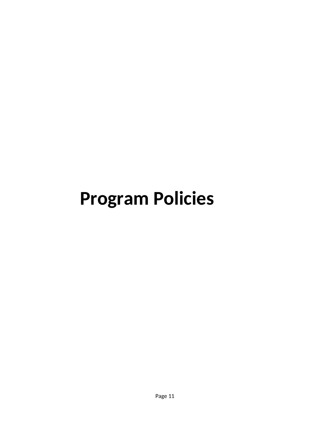## **Program Policies**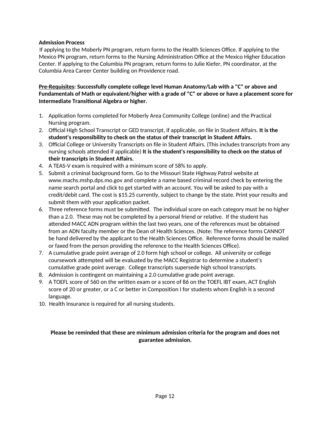#### **Admission Process**

If applying to the Moberly PN program, return forms to the Health Sciences Office. If applying to the Mexico PN program, return forms to the Nursing Administration Office at the Mexico Higher Education Center. If applying to the Columbia PN program, return forms to Julie Kiefer, PN coordinator, at the Columbia Area Career Center building on Providence road.

**Pre-Requisites: Successfully complete college level Human Anatomy/Lab with a "C" or above and Fundamentals of Math or equivalent/higher with a grade of "C" or above or have a placement score for Intermediate Transitional Algebra or higher.** 

- 1. Application forms completed for Moberly Area Community College (online) and the Practical Nursing program.
- 2. Official High School Transcript or GED transcript, if applicable, on file in Student Affairs. **It is the student's responsibility to check on the status of their transcript in Student Affairs.**
- 3. Official College or University Transcripts on file in Student Affairs. (This includes transcripts from any nursing schools attended if applicable) **It is the student's responsibility to check on the status of their transcripts in Student Affairs.**
- 4. A TEAS-V exam is required with a minimum score of 58% to apply.
- 5. Submit a criminal background form. Go to the Missouri State Highway Patrol website at www.machs.mshp.dps.mo.gov and complete a name based criminal record check by entering the name search portal and click to get started with an account. You will be asked to pay with a credit/debit card. The cost is \$15.25 currently, subject to change by the state. Print your results and submit them with your application packet.
- 6. Three reference forms must be submitted. The individual score on each category must be no higher than a 2.0. These may not be completed by a personal friend or relative. If the student has attended MACC ADN program within the last two years, one of the references must be obtained from an ADN faculty member or the Dean of Health Sciences. (Note: The reference forms CANNOT be hand delivered by the applicant to the Health Sciences Office. Reference forms should be mailed or faxed from the person providing the reference to the Health Sciences Office).
- 7. A cumulative grade point average of 2.0 form high school or college. All university or college coursework attempted will be evaluated by the MACC Registrar to determine a student's cumulative grade point average. College transcripts supersede high school transcripts.
- 8. Admission is contingent on maintaining a 2.0 cumulative grade point average.
- 9. A TOEFL score of 560 on the written exam or a score of 86 on the TOEFL IBT exam, ACT English score of 20 or greater, or a C or better in Composition I for students whom English is a second language.
- 10. Health Insurance is required for all nursing students.

## **Please be reminded that these are minimum admission criteria for the program and does not guarantee admission.**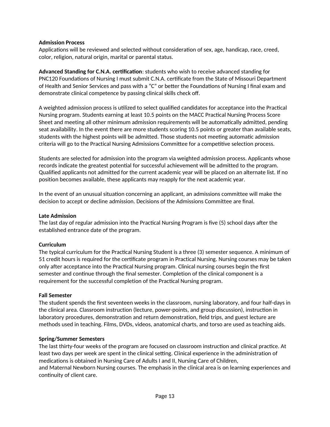#### **Admission Process**

Applications will be reviewed and selected without consideration of sex, age, handicap, race, creed, color, religion, natural origin, marital or parental status.

**Advanced Standing for C.N.A. certification**: students who wish to receive advanced standing for PNC120 Foundations of Nursing I must submit C.N.A. certificate from the State of Missouri Department of Health and Senior Services and pass with a "C" or better the Foundations of Nursing I final exam and demonstrate clinical competence by passing clinical skills check off.

A weighted admission process is utilized to select qualified candidates for acceptance into the Practical Nursing program. Students earning at least 10.5 points on the MACC Practical Nursing Process Score Sheet and meeting all other minimum admission requirements will be automatically admitted, pending seat availability. In the event there are more students scoring 10.5 points or greater than available seats, students with the highest points will be admitted. Those students not meeting automatic admission criteria will go to the Practical Nursing Admissions Committee for a competitive selection process.

Students are selected for admission into the program via weighted admission process. Applicants whose records indicate the greatest potential for successful achievement will be admitted to the program. Qualified applicants not admitted for the current academic year will be placed on an alternate list. If no position becomes available, these applicants may reapply for the next academic year.

In the event of an unusual situation concerning an applicant, an admissions committee will make the decision to accept or decline admission. Decisions of the Admissions Committee are final.

#### **Late Admission**

The last day of regular admission into the Practical Nursing Program is five (5) school days after the established entrance date of the program.

## **Curriculum**

The typical curriculum for the Practical Nursing Student is a three (3) semester sequence. A minimum of 51 credit hours is required for the certificate program in Practical Nursing. Nursing courses may be taken only after acceptance into the Practical Nursing program. Clinical nursing courses begin the first semester and continue through the final semester. Completion of the clinical component is a requirement for the successful completion of the Practical Nursing program.

#### **Fall Semester**

The student spends the first seventeen weeks in the classroom, nursing laboratory, and four half-days in the clinical area. Classroom instruction (lecture, power-points, and group discussion), instruction in laboratory procedures, demonstration and return demonstration, field trips, and guest lecture are methods used in teaching. Films, DVDs, videos, anatomical charts, and torso are used as teaching aids.

#### **Spring/Summer Semesters**

The last thirty-four weeks of the program are focused on classroom instruction and clinical practice. At least two days per week are spent in the clinical setting. Clinical experience in the administration of medications is obtained in Nursing Care of Adults I and II, Nursing Care of Children, and Maternal Newborn Nursing courses. The emphasis in the clinical area is on learning experiences and continuity of client care.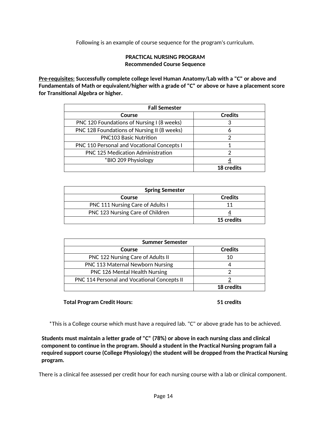Following is an example of course sequence for the program's curriculum.

#### **PRACTICAL NURSING PROGRAM Recommended Course Sequence**

 **P re- r equ i s ites: Successfully complete college level Human Anatomy/Lab with a "C" or above and Fundamentals of Math or equivalent/higher with a grade of "C" or above or have a placement score for Transitional Algebra or higher.**

| <b>Fall Semester</b>                        |                   |
|---------------------------------------------|-------------------|
| Course                                      | <b>Credits</b>    |
| PNC 120 Foundations of Nursing I (8 weeks)  | 3                 |
| PNC 128 Foundations of Nursing II (8 weeks) | 6                 |
| <b>PNC103 Basic Nutrition</b>               | っ                 |
| PNC 110 Personal and Vocational Concepts I  |                   |
| PNC 125 Medication Administration           | 2                 |
| *BIO 209 Physiology                         |                   |
|                                             | <b>18 credits</b> |

| <b>Spring Semester</b>                  |                   |
|-----------------------------------------|-------------------|
| Course                                  | <b>Credits</b>    |
| <b>PNC 111 Nursing Care of Adults I</b> |                   |
| PNC 123 Nursing Care of Children        |                   |
|                                         | <b>15 credits</b> |

| Summer Semester                                    |                |
|----------------------------------------------------|----------------|
| Course                                             | <b>Credits</b> |
| PNC 122 Nursing Care of Adults II                  | 10             |
| <b>PNC 113 Maternal Newborn Nursing</b>            | 4              |
| PNC 126 Mental Health Nursing                      | າ              |
| <b>PNC 114 Personal and Vocational Concepts II</b> |                |
|                                                    | 18 credits     |

#### **Total Program Credit Hours: 51 credits**

\*This is a College course which must have a required lab. "C" or above grade has to be achieved.

**Students must maintain a letter grade of "C" (78%) or above in each nursing class and clinical component to continue in the program. Should a student in the Practical Nursing program fail a required support course (College Physiology) the student will be dropped from the Practical Nursing program.**

There is a clinical fee assessed per credit hour for each nursing course with a lab or clinical component.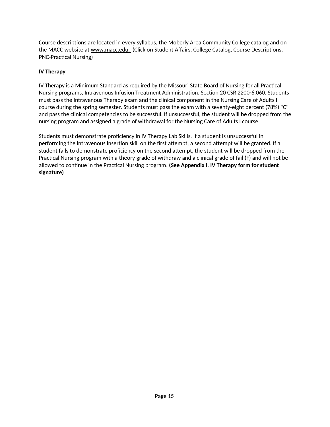Course descriptions are located in every syllabus, the Moberly Area Community College catalog and on the MACC website at www.macc.edu. (Click on Student Affairs, College Catalog, Course Descriptions, PNC-Practical Nursing)

## **IV Therapy**

IV Therapy is a Minimum Standard as required by the Missouri State Board of Nursing for all Practical Nursing programs, Intravenous Infusion Treatment Administration, Section 20 CSR 2200-6.060. Students must pass the Intravenous Therapy exam and the clinical component in the Nursing Care of Adults I course during the spring semester. Students must pass the exam with a seventy-eight percent (78%) "C" and pass the clinical competencies to be successful. If unsuccessful, the student will be dropped from the nursing program and assigned a grade of withdrawal for the Nursing Care of Adults I course.

Students must demonstrate proficiency in IV Therapy Lab Skills. If a student is unsuccessful in performing the intravenous insertion skill on the first attempt, a second attempt will be granted. If a student fails to demonstrate proficiency on the second attempt, the student will be dropped from the Practical Nursing program with a theory grade of withdraw and a clinical grade of fail (F) and will not be allowed to continue in the Practical Nursing program. **(See Appendix I, IV Therapy form for student signature)**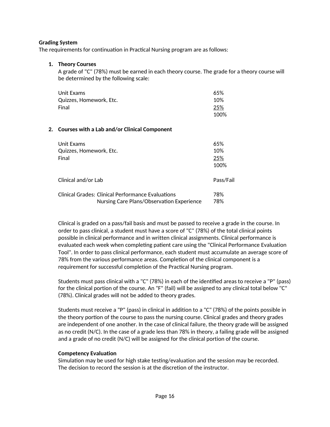#### **Grading System**

The requirements for continuation in Practical Nursing program are as follows:

#### **1. Theory Courses**

A grade of "C" (78%) must be earned in each theory course. The grade for a theory course will be determined by the following scale:

| Unit Exams              | 65%  |
|-------------------------|------|
| Quizzes, Homework, Etc. | 10%  |
| Final                   | 25%  |
|                         | 100% |

#### **2. Courses with a Lab and/or Clinical Component**

| Unit Exams<br>Quizzes, Homework, Etc.<br>Final                                                 | 65%<br>10%<br>25%<br>100% |
|------------------------------------------------------------------------------------------------|---------------------------|
| Clinical and/or Lab                                                                            | Pass/Fail                 |
| Clinical Grades: Clinical Performance Evaluations<br>Nursing Care Plans/Observation Experience | 78%<br>78%                |

Clinical is graded on a pass/fail basis and must be passed to receive a grade in the course. In order to pass clinical, a student must have a score of "C" (78%) of the total clinical points possible in clinical performance and in written clinical assignments. Clinical performance is evaluated each week when completing patient care using the "Clinical Performance Evaluation Tool". In order to pass clinical performance, each student must accumulate an average score of 78% from the various performance areas. Completion of the clinical component is a requirement for successful completion of the Practical Nursing program.

Students must pass clinical with a "C" (78%) in each of the identified areas to receive a "P" (pass) for the clinical portion of the course. An "F" (fail) will be assigned to any clinical total below "C" (78%). Clinical grades will not be added to theory grades.

Students must receive a "P" (pass) in clinical in addition to a "C" (78%) of the points possible in the theory portion of the course to pass the nursing course. Clinical grades and theory grades are independent of one another. In the case of clinical failure, the theory grade will be assigned as no credit (N/C). In the case of a grade less than 78% in theory, a failing grade will be assigned and a grade of no credit (N/C) will be assigned for the clinical portion of the course.

## **Competency Evaluation**

Simulation may be used for high stake testing/evaluation and the session may be recorded. The decision to record the session is at the discretion of the instructor.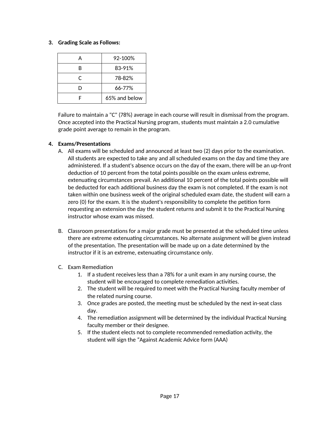#### **3. Grading Scale as Follows:**

|    | 92-100%       |
|----|---------------|
| R  | 83-91%        |
| C. | 78-82%        |
| D  | 66-77%        |
|    | 65% and below |

Failure to maintain a "C" (78%) average in each course will result in dismissal from the program. Once accepted into the Practical Nursing program, students must maintain a 2.0 cumulative grade point average to remain in the program.

## **4. Exams/Presentations**

- A. All exams will be scheduled and announced at least two (2) days prior to the examination. All students are expected to take any and all scheduled exams on the day and time they are administered. If a student's absence occurs on the day of the exam, there will be an up-front deduction of 10 percent from the total points possible on the exam unless extreme, extenuating circumstances prevail. An additional 10 percent of the total points possible will be deducted for each additional business day the exam is not completed. If the exam is not taken within one business week of the original scheduled exam date, the student will earn a zero (0) for the exam. It is the student's responsibility to complete the petition form requesting an extension the day the student returns and submit it to the Practical Nursing instructor whose exam was missed.
- B. Classroom presentations for a major grade must be presented at the scheduled time unless there are extreme extenuating circumstances. No alternate assignment will be given instead of the presentation. The presentation will be made up on a date determined by the instructor if it is an extreme, extenuating circumstance only.
- C. Exam Remediation
	- 1. If a student receives less than a 78% for a unit exam in any nursing course, the student will be encouraged to complete remediation activities.
	- 2. The student will be required to meet with the Practical Nursing faculty member of the related nursing course.
	- 3. Once grades are posted, the meeting must be scheduled by the next in-seat class day.
	- 4. The remediation assignment will be determined by the individual Practical Nursing faculty member or their designee.
	- 5. If the student elects not to complete recommended remediation activity, the student will sign the "Against Academic Advice form (AAA)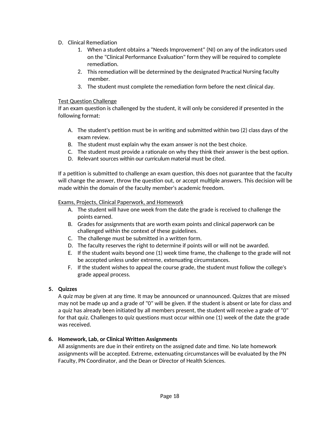- D. Clinical Remediation
	- 1. When a student obtains a "Needs Improvement" (NI) on any of the indicators used on the "Clinical Performance Evaluation" form they will be required to complete remediation.
	- 2. This remediation will be determined by the designated Practical Nursing faculty member.
	- 3. The student must complete the remediation form before the next clinical day.

#### Test Question Challenge

If an exam question is challenged by the student, it will only be considered if presented in the following format:

- A. The student's petition must be in writing and submitted within two (2) class days of the exam review.
- B. The student must explain why the exam answer is not the best choice.
- C. The student must provide a rationale on why they think their answer is the best option.
- D. Relevant sources within our curriculum material must be cited.

If a petition is submitted to challenge an exam question, this does not guarantee that the faculty will change the answer, throw the question out, or accept multiple answers. This decision will be made within the domain of the faculty member's academic freedom.

#### Exams, Projects, Clinical Paperwork, and Homework

- A. The student will have one week from the date the grade is received to challenge the points earned.
- B. Grades for assignments that are worth exam points and clinical paperwork can be challenged within the context of these guidelines.
- C. The challenge must be submitted in a written form.
- D. The faculty reserves the right to determine if points will or will not be awarded.
- E. If the student waits beyond one (1) week time frame, the challenge to the grade will not be accepted unless under extreme, extenuating circumstances.
- F. If the student wishes to appeal the course grade, the student must follow the college's grade appeal process.

#### **5. Quizzes**

A quiz may be given at any time. It may be announced or unannounced. Quizzes that are missed may not be made up and a grade of "0" will be given. If the student is absent or late for class and a quiz has already been initiated by all members present, the student will receive a grade of "0" for that quiz. Challenges to quiz questions must occur within one (1) week of the date the grade was received.

#### **6. Homework, Lab, or Clinical Written Assignments**

All assignments are due in their entirety on the assigned date and time. No late homework assignments will be accepted. Extreme, extenuating circumstances will be evaluated by the PN Faculty, PN Coordinator, and the Dean or Director of Health Sciences.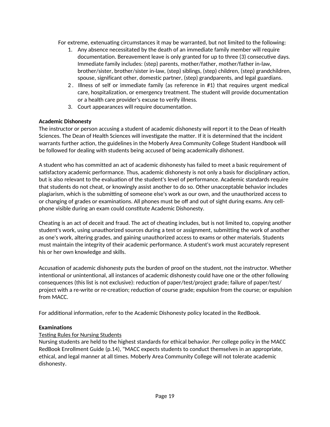For extreme, extenuating circumstances it may be warranted, but not limited to the following:

- 1. Any absence necessitated by the death of an immediate family member will require documentation. Bereavement leave is only granted for up to three (3) consecutive days. Immediate family includes: (step) parents, mother/father, mother/father in-law, brother/sister, brother/sister in-law, (step) siblings, (step) children, (step) grandchildren, spouse, significant other, domestic partner, (step) grandparents, and legal guardians.
- 2 . Illness of self or immediate family (as reference in #1) that requires urgent medical care, hospitalization, or emergency treatment. The student will provide documentation or a health care provider's excuse to verify illness.
- 3. Court appearances will require documentation.

## **Academic Dishonesty**

The instructor or person accusing a student of academic dishonesty will report it to the Dean of Health Sciences. The Dean of Health Sciences will investigate the matter. If it is determined that the incident warrants further action, the guidelines in the Moberly Area Community College Student Handbook will be followed for dealing with students being accused of being academically dishonest.

A student who has committed an act of academic dishonesty has failed to meet a basic requirement of satisfactory academic performance. Thus, academic dishonesty is not only a basis for disciplinary action, but is also relevant to the evaluation of the student's level of performance. Academic standards require that students do not cheat, or knowingly assist another to do so. Other unacceptable behavior includes plagiarism, which is the submitting of someone else's work as our own, and the unauthorized access to or changing of grades or examinations. All phones must be off and out of sight during exams. Any cellphone visible during an exam could constitute Academic Dishonesty.

Cheating is an act of deceit and fraud. The act of cheating includes, but is not limited to, copying another student's work, using unauthorized sources during a test or assignment, submitting the work of another as one's work, altering grades, and gaining unauthorized access to exams or other materials. Students must maintain the integrity of their academic performance. A student's work must accurately represent his or her own knowledge and skills.

Accusation of academic dishonesty puts the burden of proof on the student, not the instructor. Whether intentional or unintentional, all instances of academic dishonesty could have one or the other following consequences (this list is not exclusive): reduction of paper/test/project grade; failure of paper/test/ project with a re-write or re-creation; reduction of course grade; expulsion from the course; or expulsion from MACC.

For additional information, refer to the Academic Dishonesty policy located in the RedBook.

## **Examinations**

## Testing Rules for Nursing Students

Nursing students are held to the highest standards for ethical behavior. Per college policy in the MACC RedBook Enrollment Guide (p.14), "MACC expects students to conduct themselves in an appropriate, ethical, and legal manner at all times. Moberly Area Community College will not tolerate academic dishonesty.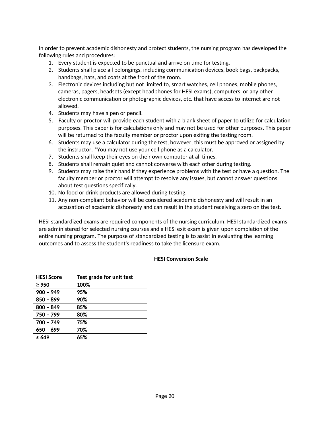In order to prevent academic dishonesty and protect students, the nursing program has developed the following rules and procedures:

- 1. Every student is expected to be punctual and arrive on time for testing.
- 2. Students shall place all belongings, including communication devices, book bags, backpacks, handbags, hats, and coats at the front of the room.
- 3. Electronic devices including but not limited to, smart watches, cell phones, mobile phones, cameras, pagers, headsets (except headphones for HESI exams), computers, or any other electronic communication or photographic devices, etc. that have access to internet are not allowed.
- 4. Students may have a pen or pencil.
- 5. Faculty or proctor will provide each student with a blank sheet of paper to utilize for calculation purposes. This paper is for calculations only and may not be used for other purposes. This paper will be returned to the faculty member or proctor upon exiting the testing room.
- 6. Students may use a calculator during the test, however, this must be approved or assigned by the instructor. \*You may not use your cell phone as a calculator.
- 7. Students shall keep their eyes on their own computer at all times.
- 8. Students shall remain quiet and cannot converse with each other during testing.
- 9. Students may raise their hand if they experience problems with the test or have a question. The faculty member or proctor will attempt to resolve any issues, but cannot answer questions about test questions specifically.
- 10. No food or drink products are allowed during testing.
- 11. Any non-compliant behavior will be considered academic dishonesty and will result in an accusation of academic dishonesty and can result in the student receiving a zero on the test.

HESI standardized exams are required components of the nursing curriculum. HESI standardized exams are administered for selected nursing courses and a HESI exit exam is given upon completion of the entire nursing program. The purpose of standardized testing is to assist in evaluating the learning outcomes and to assess the student's readiness to take the licensure exam.

## **HESI Conversion Scale**

| <b>HESI Score</b> | Test grade for unit test |
|-------------------|--------------------------|
| $\geq 950$        | 100%                     |
| $900 - 949$       | 95%                      |
| $850 - 899$       | 90%                      |
| $800 - 849$       | 85%                      |
| 750 - 799         | 80%                      |
| 700 - 749         | 75%                      |
| $650 - 699$       | 70%                      |
| $\leq 649$        | 65%                      |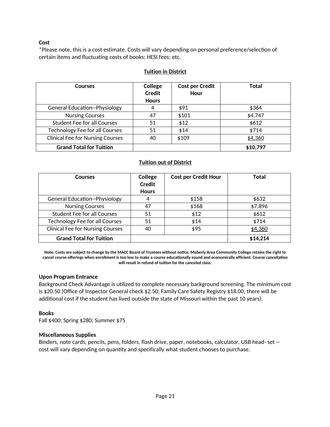#### **Cost**

\*Please note, this is a cost estimate. Costs will vary depending on personal preference/selection of certain items and fluctuating costs of books; HESI fees; etc.

#### **Tuition in District**

| <b>Courses</b>                          | College       | <b>Cost per Credit</b> | <b>Total</b> |
|-----------------------------------------|---------------|------------------------|--------------|
|                                         | <b>Credit</b> | Hour                   |              |
|                                         | <b>Hours</b>  |                        |              |
| <b>General Education--Physiology</b>    | 4             | \$91                   | \$364        |
| <b>Nursing Courses</b>                  | 47            | \$101                  | \$4,747      |
| <b>Student Fee for all Courses</b>      | 51            | \$12                   | \$612        |
| <b>Technology Fee for all Courses</b>   | 51            | \$14                   | \$714        |
| <b>Clinical Fee for Nursing Courses</b> | 40            | \$109                  | \$4,360      |
| <b>Grand Total for Tuition</b>          |               |                        | \$10,797     |

#### **Tuition out of District**

| <b>Courses</b>                          | College<br><b>Credit</b><br><b>Hours</b> | <b>Cost per Credit Hour</b> | Total    |
|-----------------------------------------|------------------------------------------|-----------------------------|----------|
| <b>General Education--Physiology</b>    | 4                                        | \$158                       | \$632    |
| <b>Nursing Courses</b>                  | 47                                       | \$168                       | \$7,896  |
| <b>Student Fee for all Courses</b>      | 51                                       | \$12                        | \$612    |
| <b>Technology Fee for all Courses</b>   | 51                                       | \$14                        | \$714    |
| <b>Clinical Fee for Nursing Courses</b> | 40                                       | \$95                        | \$4,360  |
| <b>Grand Total for Tuition</b>          |                                          |                             | \$14,214 |

Note: Costs are subject to change by the MACC Board of Trustees without notice. Moberly Area Community College retains the right to **cancel course offerings when enrollment is too low to make a course educationally sound and economically efficient. Course cancellation will result in refund of tuition for the canceled class.**

#### **Upon Program Entrance**

Background Check Advantage is utilized to complete necessary background screening. The minimum cost is \$20.50 (Office of Inspector General check \$2.50; Family Care Safety Registry \$18.00; there will be additional cost if the student has lived outside the state of Missouri within the past 10 years).

#### **Books**

Fall \$400; Spring \$280; Summer \$75

#### **Miscellaneous Supplies**

Binders, note cards, pencils, pens, folders, flash drive, paper, notebooks, calculator, USB head- set - cost will vary depending on quantity and specifically what student chooses to purchase.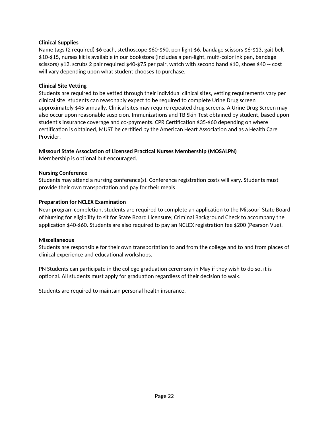#### **Clinical Supplies**

Name tags (2 required) \$6 each, stethoscope \$60-\$90, pen light \$6, bandage scissors \$6-\$13, gait belt \$10-\$15, nurses kit is available in our bookstore (includes a pen-light, multi-color ink pen, bandage scissors) \$12, scrubs 2 pair required \$40-\$75 per pair, watch with second hand \$10, shoes \$40 -- cost will vary depending upon what student chooses to purchase.

#### **Clinical Site Vetting**

Students are required to be vetted through their individual clinical sites, vetting requirements vary per clinical site, students can reasonably expect to be required to complete Urine Drug screen approximately \$45 annually. Clinical sites may require repeated drug screens. A Urine Drug Screen may also occur upon reasonable suspicion. Immunizations and TB Skin Test obtained by student, based upon student's insurance coverage and co-payments. CPR Certification \$35-\$60 depending on where certification is obtained, MUST be certified by the American Heart Association and as a Health Care Provider.

## **Missouri State Association of Licensed Practical Nurses Membership (MOSALPN)**

Membership is optional but encouraged.

#### **Nursing Conference**

Students may attend a nursing conference(s). Conference registration costs will vary. Students must provide their own transportation and pay for their meals.

#### **Preparation for NCLEX Examination**

Near program completion, students are required to complete an application to the Missouri State Board of Nursing for eligibility to sit for State Board Licensure; Criminal Background Check to accompany the application \$40-\$60. Students are also required to pay an NCLEX registration fee \$200 (Pearson Vue).

#### **Miscellaneous**

Students are responsible for their own transportation to and from the college and to and from places of clinical experience and educational workshops.

PN Students can participate in the college graduation ceremony in May if they wish to do so, it is optional. All students must apply for graduation regardless of their decision to walk.

Students are required to maintain personal health insurance.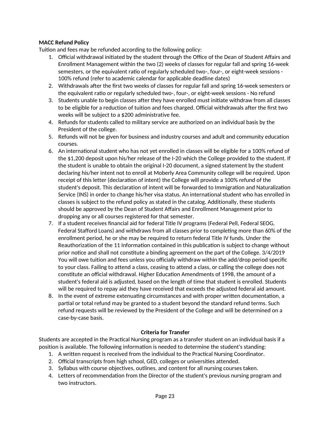## **MACC Refund Policy**

Tuition and fees may be refunded according to the following policy:

- 1. Official withdrawal initiated by the student through the Office of the Dean of Student Affairs and Enrollment Management within the two (2) weeks of classes for regular fall and spring 16-week semesters, or the equivalent ratio of regularly scheduled two-, four-, or eight-week sessions - 100% refund (refer to academic calendar for applicable deadline dates)
- 2. Withdrawals after the first two weeks of classes for regular fall and spring 16-week semesters or the equivalent ratio or regularly scheduled two-, four-, or eight-week sessions - No refund
- 3. Students unable to begin classes after they have enrolled must initiate withdraw from all classes to be eligible for a reduction of tuition and fees charged. Official withdrawals after the first two weeks will be subject to a \$200 administrative fee.
- 4. Refunds for students called to military service are authorized on an individual basis by the President of the college.
- 5. Refunds will not be given for business and industry courses and adult and community education courses.
- 6. An international student who has not yet enrolled in classes will be eligible for a 100% refund of the \$1,200 deposit upon his/her release of the I-20 which the College provided to the student. If the student is unable to obtain the original I-20 document, a signed statement by the student declaring his/her intent not to enroll at Moberly Area Community college will be required. Upon receipt of this letter (declaration of intent) the College will provide a 100% refund of the student's deposit. This declaration of intent will be forwarded to Immigration and Naturalization Service (INS) in order to change his/her visa status. An international student who has enrolled in classes is subject to the refund policy as stated in the catalog. Additionally, these students should be approved by the Dean of Student Affairs and Enrollment Management prior to dropping any or all courses registered for that semester.
- 7. If a student receives financial aid for federal Title IV programs (Federal Pell, Federal SEOG, Federal Stafford Loans) and withdraws from all classes prior to completing more than 60% of the enrollment period, he or she may be required to return federal Title IV funds. Under the Reauthorization of the 11 Information contained in this publication is subject to change without prior notice and shall not constitute a binding agreement on the part of the College. 3/4/2019 You will owe tuition and fees unless you officially withdraw within the add/drop period specific to your class. Failing to attend a class, ceasing to attend a class, or calling the college does not constitute an official withdrawal. Higher Education Amendments of 1998, the amount of a student's federal aid is adjusted, based on the length of time that student is enrolled. Students will be required to repay aid they have received that exceeds the adjusted federal aid amount.
- 8. In the event of extreme extenuating circumstances and with proper written documentation, a partial or total refund may be granted to a student beyond the standard refund terms. Such refund requests will be reviewed by the President of the College and will be determined on a case-by-case basis.

## **Criteria for Transfer**

Students are accepted in the Practical Nursing program as a transfer student on an individual basis if a position is available. The following information is needed to determine the student's standing:

- 1. A written request is received from the individual to the Practical Nursing Coordinator.
- 2. Official transcripts from high school, GED, colleges or universities attended.
- 3. Syllabus with course objectives, outlines, and content for all nursing courses taken.
- 4. Letters of recommendation from the Director of the student's previous nursing program and two instructors.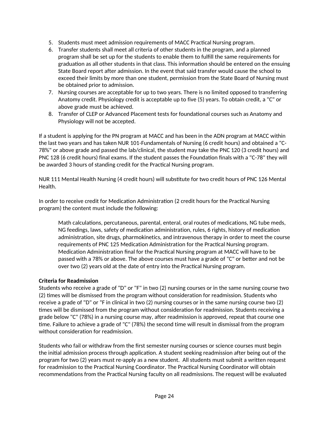- 5. Students must meet admission requirements of MACC Practical Nursing program.
- 6. Transfer students shall meet all criteria of other students in the program, and a planned program shall be set up for the students to enable them to fulfill the same requirements for graduation as all other students in that class. This information should be entered on the ensuing State Board report after admission. In the event that said transfer would cause the school to exceed their limits by more than one student, permission from the State Board of Nursing must be obtained prior to admission.
- 7. Nursing courses are acceptable for up to two years. There is no limited opposed to transferring Anatomy credit. Physiology credit is acceptable up to five (5) years. To obtain credit, a "C" or above grade must be achieved.
- 8. Transfer of CLEP or Advanced Placement tests for foundational courses such as Anatomy and Physiology will not be accepted.

If a student is applying for the PN program at MACC and has been in the ADN program at MACC within the last two years and has taken NUR 101-Fundamentals of Nursing (6 credit hours) and obtained a "C-78%" or above grade and passed the lab/clinical, the student may take the PNC 120 (3 credit hours) and PNC 128 (6 credit hours) final exams. If the student passes the Foundation finals with a "C-78" they will be awarded 3 hours of standing credit for the Practical Nursing program.

NUR 111 Mental Health Nursing (4 credit hours) will substitute for two credit hours of PNC 126 Mental Health.

In order to receive credit for Medication Administration (2 credit hours for the Practical Nursing program) the content must include the following:

Math calculations, percutaneous, parental, enteral, oral routes of medications, NG tube meds, NG feedings, laws, safety of medication administration, rules, 6 rights, history of medication administration, site drugs, pharmokinetics, and intravenous therapy in order to meet the course requirements of PNC 125 Medication Administration for the Practical Nursing program. Medication Administration final for the Practical Nursing program at MACC will have to be passed with a 78% or above. The above courses must have a grade of "C" or better and not be over two (2) years old at the date of entry into the Practical Nursing program.

## **Criteria for Readmission**

Students who receive a grade of "D" or "F" in two (2) nursing courses or in the same nursing course two (2) times will be dismissed from the program without consideration for readmission. Students who receive a grade of "D" or "F in clinical in two (2) nursing courses or in the same nursing course two (2) times will be dismissed from the program without consideration for readmission. Students receiving a grade below "C" (78%) in a nursing course may, after readmission is approved, repeat that course one time. Failure to achieve a grade of "C" (78%) the second time will result in dismissal from the program without consideration for readmission.

Students who fail or withdraw from the first semester nursing courses or science courses must begin the initial admission process through application. A student seeking readmission after being out of the program for two (2) years must re-apply as a new student. All students must submit a written request for readmission to the Practical Nursing Coordinator. The Practical Nursing Coordinator will obtain recommendations from the Practical Nursing faculty on all readmissions. The request will be evaluated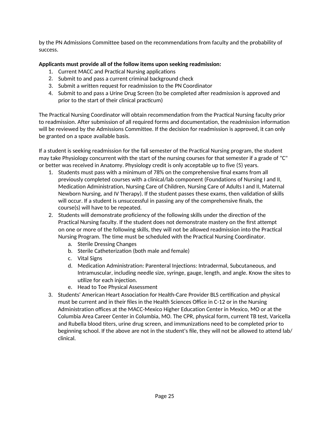by the PN Admissions Committee based on the recommendations from faculty and the probability of success.

## **Applicants must provide all of the follow items upon seeking readmission:**

- 1. Current MACC and Practical Nursing applications
- 2. Submit to and pass a current criminal background check
- 3. Submit a written request for readmission to the PN Coordinator
- 4. Submit to and pass a Urine Drug Screen (to be completed after readmission is approved and prior to the start of their clinical practicum)

The Practical Nursing Coordinator will obtain recommendation from the Practical Nursing faculty prior to readmission. After submission of all required forms and documentation, the readmission information will be reviewed by the Admissions Committee. If the decision for readmission is approved, it can only be granted on a space available basis.

If a student is seeking readmission for the fall semester of the Practical Nursing program, the student may take Physiology concurrent with the start of the nursing courses for that semester if a grade of "C" or better was received in Anatomy. Physiology credit is only acceptable up to five (5) years.

- 1. Students must pass with a minimum of 78% on the comprehensive final exams from all previously completed courses with a clinical/lab component (Foundations of Nursing I and II, Medication Administration, Nursing Care of Children, Nursing Care of Adults I and II, Maternal Newborn Nursing, and IV Therapy). If the student passes these exams, then validation of skills will occur. If a student is unsuccessful in passing any of the comprehensive finals, the course(s) will have to be repeated.
- 2. Students will demonstrate proficiency of the following skills under the direction of the Practical Nursing faculty. If the student does not demonstrate mastery on the first attempt on one or more of the following skills, they will not be allowed readmission into the Practical Nursing Program. The time must be scheduled with the Practical Nursing Coordinator.
	- a. Sterile Dressing Changes
	- b. Sterile Catheterization (both male and female)
	- c. Vital Signs
	- d. Medication Administration: Parenteral Injections: Intradermal, Subcutaneous, and Intramuscular, including needle size, syringe, gauge, length, and angle. Know the sites to utilize for each injection.
	- e. Head to Toe Physical Assessment
- 3. Students' American Heart Association for Health-Care Provider BLS certification and physical must be current and in their files in the Health Sciences Office in C-12 or in the Nursing Administration offices at the MACC-Mexico Higher Education Center in Mexico, MO or at the Columbia Area Career Center in Columbia, MO. The CPR, physical form, current TB test, Varicella and Rubella blood titers, urine drug screen, and immunizations need to be completed prior to beginning school. If the above are not in the student's file, they will not be allowed to attend lab/ clinical.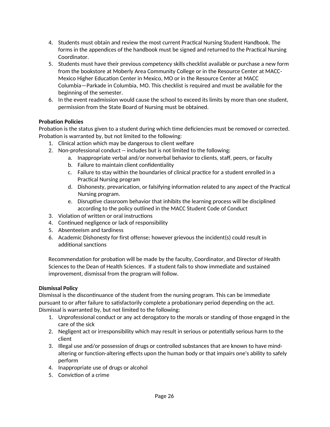- 4. Students must obtain and review the most current Practical Nursing Student Handbook. The forms in the appendices of the handbook must be signed and returned to the Practical Nursing Coordinator.
- 5. Students must have their previous competency skills checklist available or purchase a new form from the bookstore at Moberly Area Community College or in the Resource Center at MACC-Mexico Higher Education Center in Mexico, MO or in the Resource Center at MACC Columbia—Parkade in Columbia, MO. This checklist is required and must be available for the beginning of the semester.
- 6. In the event readmission would cause the school to exceed its limits by more than one student, permission from the State Board of Nursing must be obtained.

## **Probation Policies**

Probation is the status given to a student during which time deficiencies must be removed or corrected. Probation is warranted by, but not limited to the following:

- 1. Clinical action which may be dangerous to client welfare
- 2. Non-professional conduct -- includes but is not limited to the following:
	- a. Inappropriate verbal and/or nonverbal behavior to clients, staff, peers, or faculty
		- b. Failure to maintain client confidentiality
		- c. Failure to stay within the boundaries of clinical practice for a student enrolled in a Practical Nursing program
		- d. Dishonesty, prevarication, or falsifying information related to any aspect of the Practical Nursing program.
		- e. Disruptive classroom behavior that inhibits the learning process will be disciplined according to the policy outlined in the MACC Student Code of Conduct
- 3. Violation of written or oral instructions
- 4. Continued negligence or lack of responsibility
- 5. Absenteeism and tardiness
- 6. Academic Dishonesty for first offense; however grievous the incident(s) could result in additional sanctions

Recommendation for probation will be made by the faculty, Coordinator, and Director of Health Sciences to the Dean of Health Sciences. If a student fails to show immediate and sustained improvement, dismissal from the program will follow.

## **Dismissal Policy**

Dismissal is the discontinuance of the student from the nursing program. This can be immediate pursuant to or after failure to satisfactorily complete a probationary period depending on the act. Dismissal is warranted by, but not limited to the following:

- 1. Unprofessional conduct or any act derogatory to the morals or standing of those engaged in the care of the sick
- 2. Negligent act or irresponsibility which may result in serious or potentially serious harm to the client
- 3. Illegal use and/or possession of drugs or controlled substances that are known to have mindaltering or function-altering effects upon the human body or that impairs one's ability to safely perform
- 4. Inappropriate use of drugs or alcohol
- 5. Conviction of a crime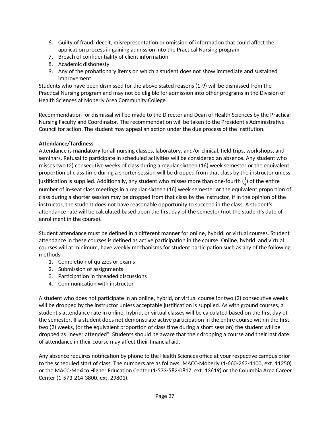- 6. Guilty of fraud, deceit, misrepresentation or omission of information that could affect the application process in gaining admission into the Practical Nursing program
- 7. Breach of confidentiality of client information
- 8. Academic dishonesty
- 9. Any of the probationary items on which a student does not show immediate and sustained improvement

Students who have been dismissed for the above stated reasons (1-9) will be dismissed from the Practical Nursing program and may not be eligible for admission into other programs in the Division of Health Sciences at Moberly Area Community College.

Recommendation for dismissal will be made to the Director and Dean of Health Sciences by the Practical Nursing Faculty and Coordinator. The recommendation will be taken to the President's Administrative Council for action. The student may appeal an action under the due process of the institution.

## **Attendance/Tardiness**

Attendance is **mandatory** for all nursing classes, laboratory, and/or clinical, field trips, workshops, and seminars. Refusal to participate in scheduled activities will be considered an absence. Any student who misses two (2) consecutive weeks of class during a regular sixteen (16) week semester or the equivalent proportion of class time during a shorter session will be dropped from that class by the instructor unless justification is supplied. Additionally, any student who misses more than one-fourth  $({1\atop 4})$  of the entire number of in-seat class meetings in a regular sixteen (16) week semester or the equivalent proportion of class during a shorter session may be dropped from that class by the instructor, if in the opinion of the instructor, the student does not have reasonable opportunity to succeed in the class. A student's attendance rate will be calculated based upon the first day of the semester (not the student's date of enrollment in the course).

Student attendance must be defined in a different manner for online, hybrid, or virtual courses. Student attendance in these courses is defined as active participation in the course. Online, hybrid, and virtual courses will at minimum, have weekly mechanisms for student participation such as any of the following methods:

- 1. Completion of quizzes or exams
- 2. Submission of assignments
- 3. Participation in threaded discussions
- 4. Communication with instructor

A student who does not participate in an online, hybrid, or virtual course for two (2) consecutive weeks will be dropped by the instructor unless acceptable justification is supplied. As with ground courses, a student's attendance rate in online, hybrid, or virtual classes will be calculated based on the first day of the semester. If a student does not demonstrate active participation in the entire course within the first two (2) weeks, (or the equivalent proportion of class time during a short session) the student will be dropped as "never attended". Students should be aware that their dropping a course and their last date of attendance in their course may affect their financial aid.

Any absence requires notification by phone to the Health Sciences office at your respective campus prior to the scheduled start of class. The numbers are as follows: MACC-Moberly (1-660-263-4100, ext. 11250) or the MACC-Mexico Higher Education Center (1-573-582-0817, ext. 13619) or the Columbia Area Career Center (1-573-214-3800, ext. 29801).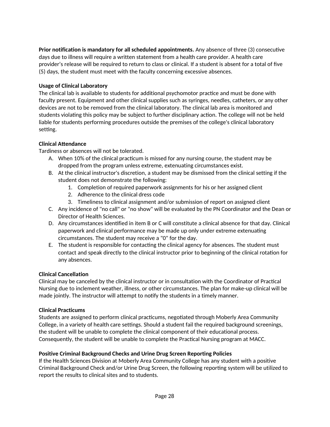**Prior notification is mandatory for all scheduled appointments.** Any absence of three (3) consecutive days due to illness will require a written statement from a health care provider. A health care provider's release will be required to return to class or clinical. If a student is absent for a total of five (5) days, the student must meet with the faculty concerning excessive absences.

## **Usage of Clinical Laboratory**

The clinical lab is available to students for additional psychomotor practice and must be done with faculty present. Equipment and other clinical supplies such as syringes, needles, catheters, or any other devices are not to be removed from the clinical laboratory. The clinical lab area is monitored and students violating this policy may be subject to further disciplinary action. The college will not be held liable for students performing procedures outside the premises of the college's clinical laboratory setting.

## **Clinical Attendance**

Tardiness or absences will not be tolerated.

- A. When 10% of the clinical practicum is missed for any nursing course, the student may be dropped from the program unless extreme, extenuating circumstances exist.
- B. At the clinical instructor's discretion, a student may be dismissed from the clinical setting if the student does not demonstrate the following:
	- 1. Completion of required paperwork assignments for his or her assigned client
	- 2. Adherence to the clinical dress code
	- 3. Timeliness to clinical assignment and/or submission of report on assigned client
- C. Any incidence of "no call" or "no show" will be evaluated by the PN Coordinator and the Dean or Director of Health Sciences.
- D. Any circumstances identified in item B or C will constitute a clinical absence for that day. Clinical paperwork and clinical performance may be made up only under extreme extenuating circumstances. The student may receive a "0" for the day.
- E. The student is responsible for contacting the clinical agency for absences. The student must contact and speak directly to the clinical instructor prior to beginning of the clinical rotation for any absences.

## **Clinical Cancellation**

Clinical may be canceled by the clinical instructor or in consultation with the Coordinator of Practical Nursing due to inclement weather, illness, or other circumstances. The plan for make-up clinical will be made jointly. The instructor will attempt to notify the students in a timely manner.

## **Clinical Practicums**

Students are assigned to perform clinical practicums, negotiated through Moberly Area Community College, in a variety of health care settings. Should a student fail the required background screenings, the student will be unable to complete the clinical component of their educational process. Consequently, the student will be unable to complete the Practical Nursing program at MACC.

## **Positive Criminal Background Checks and Urine Drug Screen Reporting Policies**

If the Health Sciences Division at Moberly Area Community College has any student with a positive Criminal Background Check and/or Urine Drug Screen, the following reporting system will be utilized to report the results to clinical sites and to students.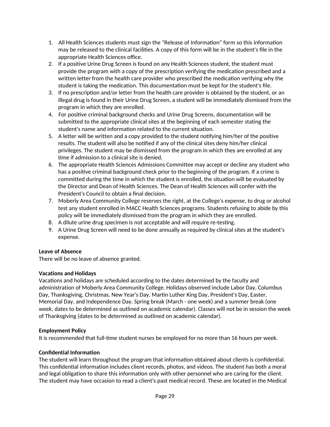- 1. All Health Sciences students must sign the "Release of Information" form so this information may be released to the clinical facilities. A copy of this form will be in the student's file in the appropriate Health Sciences office.
- 2. If a positive Urine Drug Screen is found on any Health Sciences student, the student must provide the program with a copy of the prescription verifying the medication prescribed and a written letter from the health care provider who prescribed the medication verifying why the student is taking the medication. This documentation must be kept for the student's file.
- 3. If no prescription and/or letter from the health care provider is obtained by the student, or an illegal drug is found in their Urine Drug Screen, a student will be immediately dismissed from the program in which they are enrolled.
- 4. For positive criminal background checks and Urine Drug Screens, documentation will be submitted to the appropriate clinical sites at the beginning of each semester stating the student's name and information related to the current situation.
- 5. A letter will be written and a copy provided to the student notifying him/her of the positive results. The student will also be notified if any of the clinical sites deny him/her clinical privileges. The student may be dismissed from the program in which they are enrolled at any time if admission to a clinical site is denied.
- 6. The appropriate Health Sciences Admissions Committee may accept or decline any student who has a positive criminal background check prior to the beginning of the program. If a crime is committed during the time in which the student is enrolled, the situation will be evaluated by the Director and Dean of Health Sciences. The Dean of Health Sciences will confer with the President's Council to obtain a final decision.
- 7. Moberly Area Community College reserves the right, at the College's expense, to drug or alcohol test any student enrolled in MACC Health Sciences programs. Students refusing to abide by this policy will be immediately dismissed from the program in which they are enrolled.
- 8. A dilute urine drug specimen is not acceptable and will require re-testing.
- 9. A Urine Drug Screen will need to be done annually as required by clinical sites at the student's expense.

## **Leave of Absence**

There will be no leave of absence granted.

## **Vacations and Holidays**

Vacations and holidays are scheduled according to the dates determined by the faculty and administration of Moberly Area Community College. Holidays observed include Labor Day, Columbus Day, Thanksgiving, Christmas, New Year's Day, Martin Luther King Day, President's Day, Easter, Memorial Day, and Independence Day. Spring break (March - one week) and a summer break (one week, dates to be determined as outlined on academic calendar). Classes will not be in session the week of Thanksgiving (dates to be determined as outlined on academic calendar).

## **Employment Policy**

It is recommended that full-time student nurses be employed for no more than 16 hours per week.

## **Confidential Information**

The student will learn throughout the program that information obtained about clients is confidential. This confidential information includes client records, photos, and videos. The student has both a moral and legal obligation to share this information only with other personnel who are caring for the client. The student may have occasion to read a client's past medical record. These are located in the Medical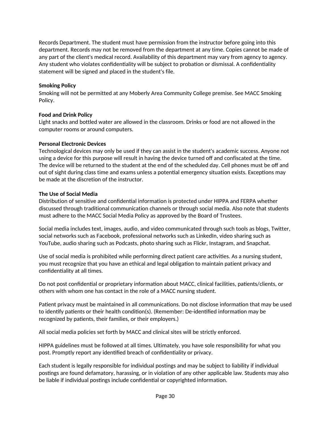Records Department. The student must have permission from the instructor before going into this department. Records may not be removed from the department at any time. Copies cannot be made of any part of the client's medical record. Availability of this department may vary from agency to agency. Any student who violates confidentiality will be subject to probation or dismissal. A confidentiality statement will be signed and placed in the student's file.

## **Smoking Policy**

Smoking will not be permitted at any Moberly Area Community College premise. See MACC Smoking Policy.

#### **Food and Drink Policy**

Light snacks and bottled water are allowed in the classroom. Drinks or food are not allowed in the computer rooms or around computers.

#### **Personal Electronic Devices**

Technological devices may only be used if they can assist in the student's academic success. Anyone not using a device for this purpose will result in having the device turned off and confiscated at the time. The device will be returned to the student at the end of the scheduled day. Cell phones must be off and out of sight during class time and exams unless a potential emergency situation exists. Exceptions may be made at the discretion of the instructor.

#### **The Use of Social Media**

Distribution of sensitive and confidential information is protected under HIPPA and FERPA whether discussed through traditional communication channels or through social media. Also note that students must adhere to the MACC Social Media Policy as approved by the Board of Trustees.

Social media includes text, images, audio, and video communicated through such tools as blogs, Twitter, social networks such as Facebook, professional networks such as LinkedIn, video sharing such as YouTube, audio sharing such as Podcasts, photo sharing such as Flickr, Instagram, and Snapchat.

Use of social media is prohibited while performing direct patient care activities. As a nursing student, you must recognize that you have an ethical and legal obligation to maintain patient privacy and confidentiality at all times.

Do not post confidential or proprietary information about MACC, clinical facilities, patients/clients, or others with whom one has contact in the role of a MACC nursing student.

Patient privacy must be maintained in all communications. Do not disclose information that may be used to identify patients or their health condition(s). (Remember: De-identified information may be recognized by patients, their families, or their employers.)

All social media policies set forth by MACC and clinical sites will be strictly enforced.

HIPPA guidelines must be followed at all times. Ultimately, you have sole responsibility for what you post. Promptly report any identified breach of confidentiality or privacy.

Each student is legally responsible for individual postings and may be subject to liability if individual postings are found defamatory, harassing, or in violation of any other applicable law. Students may also be liable if individual postings include confidential or copyrighted information.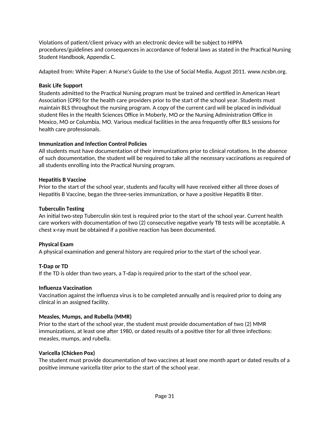Violations of patient/client privacy with an electronic device will be subject to HIPPA procedures/guidelines and consequences in accordance of federal laws as stated in the Practical Nursing Student Handbook, Appendix C.

Adapted from: White Paper: A Nurse's Guide to the Use of Social Media, August 2011. www.ncsbn.org.

## **Basic Life Support**

Students admitted to the Practical Nursing program must be trained and certified in American Heart Association (CPR) for the health care providers prior to the start of the school year. Students must maintain BLS throughout the nursing program. A copy of the current card will be placed in individual student files in the Health Sciences Office in Moberly, MO or the Nursing Administration Office in Mexico, MO or Columbia, MO. Various medical facilities in the area frequently offer BLS sessions for health care professionals.

## **Immunization and Infection Control Policies**

All students must have documentation of their immunizations prior to clinical rotations. In the absence of such documentation, the student will be required to take all the necessary vaccinations as required of all students enrolling into the Practical Nursing program.

## **Hepatitis B Vaccine**

Prior to the start of the school year, students and faculty will have received either all three doses of Hepatitis B Vaccine, began the three-series immunization, or have a positive Hepatitis B titer.

## **Tuberculin Testing**

An initial two-step Tuberculin skin test is required prior to the start of the school year. Current health care workers with documentation of two (2) consecutive negative yearly TB tests will be acceptable. A chest x-ray must be obtained if a positive reaction has been documented.

## **Physical Exam**

A physical examination and general history are required prior to the start of the school year.

## **T-Dap or TD**

If the TD is older than two years, a T-dap is required prior to the start of the school year.

## **Influenza Vaccination**

Vaccination against the influenza virus is to be completed annually and is required prior to doing any clinical in an assigned facility.

## **Measles, Mumps, and Rubella (MMR)**

Prior to the start of the school year, the student must provide documentation of two (2) MMR immunizations, at least one after 1980, or dated results of a positive titer for all three infections: measles, mumps, and rubella.

## **Varicella (Chicken Pox)**

The student must provide documentation of two vaccines at least one month apart or dated results of a positive immune varicella titer prior to the start of the school year.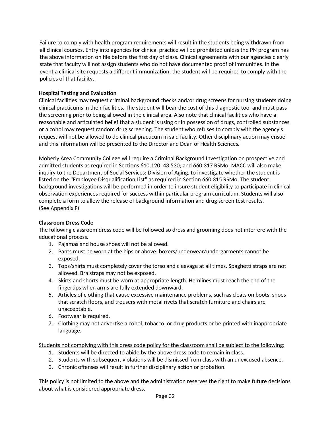Failure to comply with health program requirements will result in the students being withdrawn from all clinical courses. Entry into agencies for clinical practice will be prohibited unless the PN program has the above information on file before the first day of class. Clinical agreements with our agencies clearly state that faculty will not assign students who do not have documented proof of immunities. In the event a clinical site requests a different immunization, the student will be required to comply with the policies of that facility.

## **Hospital Testing and Evaluation**

Clinical facilities may request criminal background checks and/or drug screens for nursing students doing clinical practicums in their facilities. The student will bear the cost of this diagnostic tool and must pass the screening prior to being allowed in the clinical area. Also note that clinical facilities who have a reasonable and articulated belief that a student is using or in possession of drugs, controlled substances or alcohol may request random drug screening. The student who refuses to comply with the agency's request will not be allowed to do clinical practicum in said facility. Other disciplinary action may ensue and this information will be presented to the Director and Dean of Health Sciences.

Moberly Area Community College will require a Criminal Background Investigation on prospective and admitted students as required in Sections 610.120; 43.530; and 660.317 RSMo. MACC will also make inquiry to the Department of Social Services: Division of Aging, to investigate whether the student is listed on the "Employee Disqualification List" as required in Section 660.315 RSMo. The student background investigations will be performed in order to insure student eligibility to participate in clinical observation experiences required for success within particular program curriculum. Students will also complete a form to allow the release of background information and drug screen test results. (See Appendix F)

#### **Classroom Dress Code**

The following classroom dress code will be followed so dress and grooming does not interfere with the educational process.

- 1. Pajamas and house shoes will not be allowed.
- 2. Pants must be worn at the hips or above; boxers/underwear/undergarments cannot be exposed.
- 3. Tops/shirts must completely cover the torso and cleavage at all times. Spaghetti straps are not allowed. Bra straps may not be exposed.
- 4. Skirts and shorts must be worn at appropriate length. Hemlines must reach the end of the fingertips when arms are fully extended downward.
- 5. Articles of clothing that cause excessive maintenance problems, such as cleats on boots, shoes that scratch floors, and trousers with metal rivets that scratch furniture and chairs are unacceptable.
- 6. Footwear is required.
- 7. Clothing may not advertise alcohol, tobacco, or drug products or be printed with inappropriate language.

Students not complying with this dress code policy for the classroom shall be subject to the following:

- 1. Students will be directed to abide by the above dress code to remain in class.
- 2. Students with subsequent violations will be dismissed from class with an unexcused absence.
- 3. Chronic offenses will result in further disciplinary action or probation.

This policy is not limited to the above and the administration reserves the right to make future decisions about what is considered appropriate dress.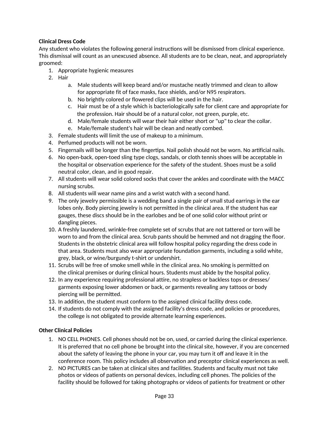## **Clinical Dress Code**

Any student who violates the following general instructions will be dismissed from clinical experience. This dismissal will count as an unexcused absence. All students are to be clean, neat, and appropriately groomed:

- 1. Appropriate hygienic measures
- 2. Hair
	- a. Male students will keep beard and/or mustache neatly trimmed and clean to allow for appropriate fit of face masks, face shields, and/or N95 respirators.
	- b. No brightly colored or flowered clips will be used in the hair.
	- c. Hair must be of a style which is bacteriologically safe for client care and appropriate for the profession. Hair should be of a natural color, not green, purple, etc.
	- d. Male/female students will wear their hair either short or "up" to clear the collar.
	- e. Male/female student's hair will be clean and neatly combed.
- 3. Female students will limit the use of makeup to a minimum.
- 4. Perfumed products will not be worn.
- 5. Fingernails will be longer than the fingertips. Nail polish should not be worn. No artificial nails.
- 6. No open-back, open-toed sling type clogs, sandals, or cloth tennis shoes will be acceptable in the hospital or observation experience for the safety of the student. Shoes must be a solid neutral color, clean, and in good repair.
- 7. All students will wear solid colored socks that cover the ankles and coordinate with the MACC nursing scrubs.
- 8. All students will wear name pins and a wrist watch with a second hand.
- 9. The only jewelry permissible is a wedding band a single pair of small stud earrings in the ear lobes only. Body piercing jewelry is not permitted in the clinical area. If the student has ear gauges, these discs should be in the earlobes and be of one solid color without print or dangling pieces.
- 10. A freshly laundered, wrinkle-free complete set of scrubs that are not tattered or torn will be worn to and from the clinical area. Scrub pants should be hemmed and not dragging the floor. Students in the obstetric clinical area will follow hospital policy regarding the dress code in that area. Students must also wear appropriate foundation garments, including a solid white, grey, black, or wine/burgundy t-shirt or undershirt.
- 11. Scrubs will be free of smoke smell while in the clinical area. No smoking is permitted on the clinical premises or during clinical hours. Students must abide by the hospital policy.
- 12. In any experience requiring professional attire, no strapless or backless tops or dresses/ garments exposing lower abdomen or back, or garments revealing any tattoos or body piercing will be permitted.
- 13. In addition, the student must conform to the assigned clinical facility dress code.
- 14. If students do not comply with the assigned facility's dress code, and policies or procedures, the college is not obligated to provide alternate learning experiences.

## **Other Clinical Policies**

- 1. NO CELL PHONES. Cell phones should not be on, used, or carried during the clinical experience. It is preferred that no cell phone be brought into the clinical site, however, if you are concerned about the safety of leaving the phone in your car, you may turn it off and leave it in the conference room. This policy includes all observation and preceptor clinical experiences as well.
- 2. NO PICTURES can be taken at clinical sites and facilities. Students and faculty must not take photos or videos of patients on personal devices, including cell phones. The policies of the facility should be followed for taking photographs or videos of patients for treatment or other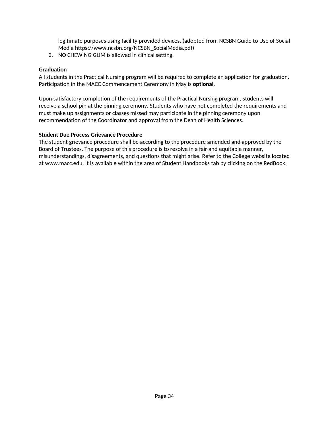legitimate purposes using facility provided devices. (adopted from NCSBN Guide to Use of Social Media https://www.ncsbn.org/NCSBN\_SocialMedia.pdf)

3. NO CHEWING GUM is allowed in clinical setting.

#### **Graduation**

All students in the Practical Nursing program will be required to complete an application for graduation. Participation in the MACC Commencement Ceremony in May is **optional**.

Upon satisfactory completion of the requirements of the Practical Nursing program, students will receive a school pin at the pinning ceremony. Students who have not completed the requirements and must make up assignments or classes missed may participate in the pinning ceremony upon recommendation of the Coordinator and approval from the Dean of Health Sciences.

#### **Student Due Process Grievance Procedure**

The student grievance procedure shall be according to the procedure amended and approved by the Board of Trustees. The purpose of this procedure is to resolve in a fair and equitable manner, misunderstandings, disagreements, and questions that might arise. Refer to the College website located at www.macc.edu. It is available within the area of Student Handbooks tab by clicking on the RedBook.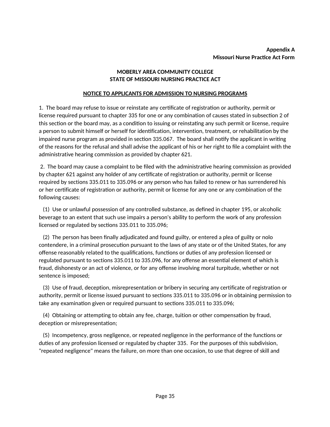#### **Appendix A Missouri Nurse Practice Act Form**

#### **MOBERLY AREA COMMUNITY COLLEGE STATE OF MISSOURI NURSING PRACTICE ACT**

#### **NOTICE TO APPLICANTS FOR ADMISSION TO NURSING PROGRAMS**

1. The board may refuse to issue or reinstate any certificate of registration or authority, permit or license required pursuant to chapter 335 for one or any combination of causes stated in subsection 2 of this section or the board may, as a condition to issuing or reinstating any such permit or license, require a person to submit himself or herself for identification, intervention, treatment, or rehabilitation by the impaired nurse program as provided in section 335.067. The board shall notify the applicant in writing of the reasons for the refusal and shall advise the applicant of his or her right to file a complaint with the administrative hearing commission as provided by chapter 621.

2. The board may cause a complaint to be filed with the administrative hearing commission as provided by chapter 621 against any holder of any certificate of registration or authority, permit or license required by sections 335.011 to 335.096 or any person who has failed to renew or has surrendered his or her certificate of registration or authority, permit or license for any one or any combination of the following causes:

(1) Use or unlawful possession of any controlled substance, as defined in chapter 195, or alcoholic beverage to an extent that such use impairs a person's ability to perform the work of any profession licensed or regulated by sections 335.011 to 335.096;

(2) The person has been finally adjudicated and found guilty, or entered a plea of guilty or nolo contendere, in a criminal prosecution pursuant to the laws of any state or of the United States, for any offense reasonably related to the qualifications, functions or duties of any profession licensed or regulated pursuant to sections 335.011 to 335.096, for any offense an essential element of which is fraud, dishonesty or an act of violence, or for any offense involving moral turpitude, whether or not sentence is imposed;

(3) Use of fraud, deception, misrepresentation or bribery in securing any certificate of registration or authority, permit or license issued pursuant to sections 335.011 to 335.096 or in obtaining permission to take any examination given or required pursuant to sections 335.011 to 335.096;

(4) Obtaining or attempting to obtain any fee, charge, tuition or other compensation by fraud, deception or misrepresentation;

(5) Incompetency, gross negligence, or repeated negligence in the performance of the functions or duties of any profession licensed or regulated by chapter 335. For the purposes of this subdivision, "repeated negligence" means the failure, on more than one occasion, to use that degree of skill and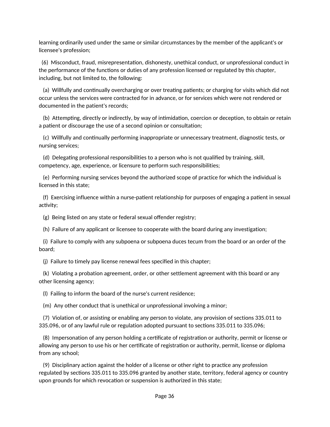learning ordinarily used under the same or similar circumstances by the member of the applicant's or licensee's profession;

(6) Misconduct, fraud, misrepresentation, dishonesty, unethical conduct, or unprofessional conduct in the performance of the functions or duties of any profession licensed or regulated by this chapter, including, but not limited to, the following:

(a) Willfully and continually overcharging or over treating patients; or charging for visits which did not occur unless the services were contracted for in advance, or for services which were not rendered or documented in the patient's records;

(b) Attempting, directly or indirectly, by way of intimidation, coercion or deception, to obtain or retain a patient or discourage the use of a second opinion or consultation;

(c) Willfully and continually performing inappropriate or unnecessary treatment, diagnostic tests, or nursing services;

(d) Delegating professional responsibilities to a person who is not qualified by training, skill, competency, age, experience, or licensure to perform such responsibilities;

(e) Performing nursing services beyond the authorized scope of practice for which the individual is licensed in this state;

(f) Exercising influence within a nurse-patient relationship for purposes of engaging a patient in sexual activity;

(g) Being listed on any state or federal sexual offender registry;

(h) Failure of any applicant or licensee to cooperate with the board during any investigation;

(i) Failure to comply with any subpoena or subpoena duces tecum from the board or an order of the board;

(j) Failure to timely pay license renewal fees specified in this chapter;

(k) Violating a probation agreement, order, or other settlement agreement with this board or any other licensing agency;

(l) Failing to inform the board of the nurse's current residence;

(m) Any other conduct that is unethical or unprofessional involving a minor;

(7) Violation of, or assisting or enabling any person to violate, any provision of sections 335.011 to 335.096, or of any lawful rule or regulation adopted pursuant to sections 335.011 to 335.096;

(8) Impersonation of any person holding a certificate of registration or authority, permit or license or allowing any person to use his or her certificate of registration or authority, permit, license or diploma from any school;

(9) Disciplinary action against the holder of a license or other right to practice any profession regulated by sections 335.011 to 335.096 granted by another state, territory, federal agency or country upon grounds for which revocation or suspension is authorized in this state;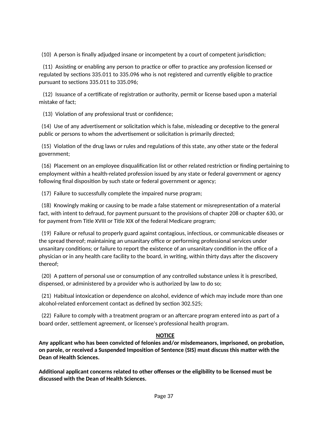(10) A person is finally adjudged insane or incompetent by a court of competent jurisdiction;

(11) Assisting or enabling any person to practice or offer to practice any profession licensed or regulated by sections 335.011 to 335.096 who is not registered and currently eligible to practice pursuant to sections 335.011 to 335.096;

(12) Issuance of a certificate of registration or authority, permit or license based upon a material mistake of fact;

(13) Violation of any professional trust or confidence;

(14) Use of any advertisement or solicitation which is false, misleading or deceptive to the general public or persons to whom the advertisement or solicitation is primarily directed;

(15) Violation of the drug laws or rules and regulations of this state, any other state or the federal government;

(16) Placement on an employee disqualification list or other related restriction or finding pertaining to employment within a health-related profession issued by any state or federal government or agency following final disposition by such state or federal government or agency;

(17) Failure to successfully complete the impaired nurse program;

(18) Knowingly making or causing to be made a false statement or misrepresentation of a material fact, with intent to defraud, for payment pursuant to the provisions of chapter 208 or chapter 630, or for payment from Title XVIII or Title XIX of the federal Medicare program;

(19) Failure or refusal to properly guard against contagious, infectious, or communicable diseases or the spread thereof; maintaining an unsanitary office or performing professional services under unsanitary conditions; or failure to report the existence of an unsanitary condition in the office of a physician or in any health care facility to the board, in writing, within thirty days after the discovery thereof;

(20) A pattern of personal use or consumption of any controlled substance unless it is prescribed, dispensed, or administered by a provider who is authorized by law to do so;

(21) Habitual intoxication or dependence on alcohol, evidence of which may include more than one alcohol-related enforcement contact as defined by section 302.525;

(22) Failure to comply with a treatment program or an aftercare program entered into as part of a board order, settlement agreement, or licensee's professional health program.

## **NOTICE**

**Any applicant who has been convicted of felonies and/or misdemeanors, imprisoned, on probation, on parole, or received a Suspended Imposition of Sentence (SIS) must discuss this matter with the Dean of Health Sciences.**

**Additional applicant concerns related to other offenses or the eligibility to be licensed must be discussed with the Dean of Health Sciences.**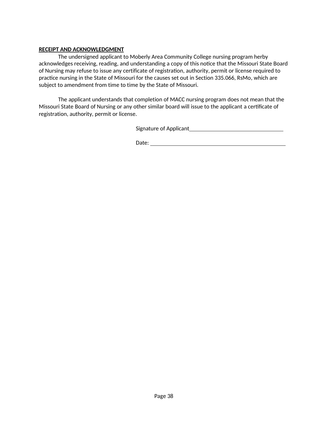#### **RECEIPT AND ACKNOWLEDGMENT**

The undersigned applicant to Moberly Area Community College nursing program herby acknowledges receiving, reading, and understanding a copy of this notice that the Missouri State Board of Nursing may refuse to issue any certificate of registration, authority, permit or license required to practice nursing in the State of Missouri for the causes set out in Section 335.066, RsMo, which are subject to amendment from time to time by the State of Missouri.

The applicant understands that completion of MACC nursing program does not mean that the Missouri State Board of Nursing or any other similar board will issue to the applicant a certificate of registration, authority, permit or license.

Signature of Applicant

Date: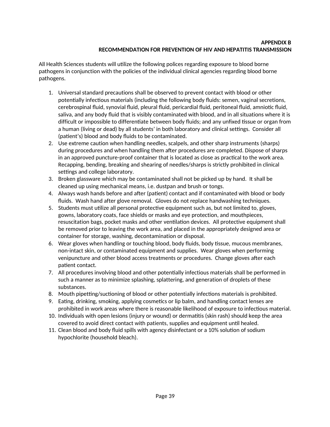## **APPENDIX B RECOMMENDATION FOR PREVENTION OF HIV AND HEPATITIS TRANSMISSION**

All Health Sciences students will utilize the following polices regarding exposure to blood borne pathogens in conjunction with the policies of the individual clinical agencies regarding blood borne pathogens.

- 1. Universal standard precautions shall be observed to prevent contact with blood or other potentially infectious materials (including the following body fluids: semen, vaginal secretions, cerebrospinal fluid, synovial fluid, pleural fluid, pericardial fluid, peritoneal fluid, amniotic fluid, saliva, and any body fluid that is visibly contaminated with blood, and in all situations where it is difficult or impossible to differentiate between body fluids; and any unfixed tissue or organ from a human (living or dead) by all students' in both laboratory and clinical settings. Consider all (patient's) blood and body fluids to be contaminated.
- 2. Use extreme caution when handling needles, scalpels, and other sharp instruments (sharps) during procedures and when handling them after procedures are completed. Dispose of sharps in an approved puncture-proof container that is located as close as practical to the work area. Recapping, bending, breaking and shearing of needles/sharps is strictly prohibited in clinical settings and college laboratory.
- 3. Broken glassware which may be contaminated shall not be picked up by hand. It shall be cleaned up using mechanical means, i.e. dustpan and brush or tongs.
- 4. Always wash hands before and after (patient) contact and if contaminated with blood or body fluids. Wash hand after glove removal. Gloves do not replace handwashing techniques.
- 5. Students must utilize all personal protective equipment such as, but not limited to, gloves, gowns, laboratory coats, face shields or masks and eye protection, and mouthpieces, resuscitation bags, pocket masks and other ventilation devices. All protective equipment shall be removed prior to leaving the work area, and placed in the appropriately designed area or container for storage, washing, decontamination or disposal.
- 6. Wear gloves when handling or touching blood, body fluids, body tissue, mucous membranes, non-intact skin, or contaminated equipment and supplies. Wear gloves when performing venipuncture and other blood access treatments or procedures. Change gloves after each patient contact.
- 7. All procedures involving blood and other potentially infectious materials shall be performed in such a manner as to minimize splashing, splattering, and generation of droplets of these substances.
- 8. Mouth pipetting/suctioning of blood or other potentially infections materials is prohibited.
- 9. Eating, drinking, smoking, applying cosmetics or lip balm, and handling contact lenses are prohibited in work areas where there is reasonable likelihood of exposure to infectious material.
- 10. Individuals with open lesions (injury or wound) or dermatitis (skin rash) should keep the area covered to avoid direct contact with patients, supplies and equipment until healed.
- 11. Clean blood and body fluid spills with agency disinfectant or a 10% solution of sodium hypochlorite (household bleach).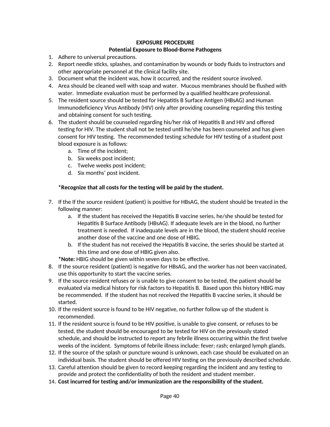#### **EXPOSURE PROCEDURE**

#### **Potential Exposure to Blood-Borne Pathogens**

- 1. Adhere to universal precautions.
- 2. Report needle sticks, splashes, and contamination by wounds or body fluids to instructors and other appropriate personnel at the clinical facility site.
- 3. Document what the incident was, how it occurred, and the resident source involved.
- 4. Area should be cleaned well with soap and water. Mucous membranes should be flushed with water. Immediate evaluation must be performed by a qualified healthcare professional.
- 5. The resident source should be tested for Hepatitis B Surface Antigen (HBsAG) and Human Immunodeficiency Virus Antibody (HIV) only after providing counseling regarding this testing and obtaining consent for such testing.
- 6. The student should be counseled regarding his/her risk of Hepatitis B and HIV and offered testing for HIV. The student shall not be tested until he/she has been counseled and has given consent for HIV testing. The recommended testing schedule for HIV testing of a student post blood exposure is as follows:
	- a. Time of the incident;
	- b. Six weeks post incident;
	- c. Twelve weeks post incident;
	- d. Six months' post incident.

#### **\*Recognize that all costs for the testing will be paid by the student.**

- 7. If the If the source resident (patient) is positive for HBsAG, the student should be treated in the following manner:
	- a. If the student has received the Hepatitis B vaccine series, he/she should be tested for Hepatitis B Surface Antibody (HBsAG). If adequate levels are in the blood, no further treatment is needed. If inadequate levels are in the blood, the student should receive another dose of the vaccine and one dose of HBIG.
	- b. If the student has not received the Hepatitis B vaccine, the series should be started at this time and one dose of HBIG given also.
	- **\*Note:** HBIG should be given within seven days to be effective.
- 8. If the source resident (patient) is negative for HBsAG, and the worker has not been vaccinated, use this opportunity to start the vaccine series.
- 9. If the source resident refuses or is unable to give consent to be tested, the patient should be evaluated via medical history for risk factors to Hepatitis B. Based upon this history HBIG may be recommended. If the student has not received the Hepatitis B vaccine series, it should be started.
- 10. If the resident source is found to be HIV negative, no further follow up of the student is recommended.
- 11. If the resident source is found to be HIV positive, is unable to give consent, or refuses to be tested, the student should be encouraged to be tested for HIV on the previously stated schedule, and should be instructed to report any febrile illness occurring within the first twelve weeks of the incident. Symptoms of febrile illness include: fever; rash; enlarged lymph glands.
- 12. If the source of the splash or puncture wound is unknown, each case should be evaluated on an individual basis. The student should be offered HIV testing on the previously described schedule.
- 13. Careful attention should be given to record keeping regarding the incident and any testing to provide and protect the confidentiality of both the resident and student member.
- 14. **Cost incurred for testing and/or immunization are the responsibility of the student.**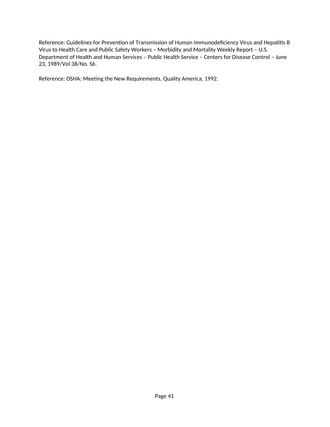Reference: Guidelines for Prevention of Transmission of Human Immunodeficiency Virus and Hepatitis B Virus to Health Care and Public Safety Workers – Morbidity and Mortality Weekly Report – U.S. Department of Health and Human Services – Public Health Service – Centers for Disease Control – June 23, 1989/Vol 38/No. S6.

Reference: OSHA: Meeting the New Requirements, Quality America, 1992.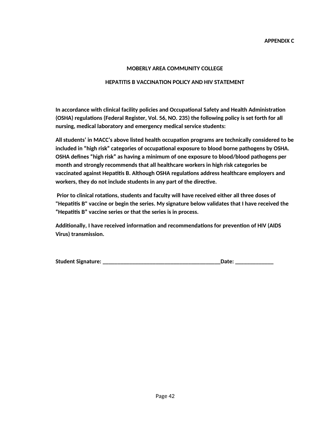#### **APPENDIX C**

#### **MOBERLY AREA COMMUNITY COLLEGE**

#### **HEPATITIS B VACCINATION POLICY AND HIV STATEMENT**

**In accordance with clinical facility policies and Occupational Safety and Health Administration (OSHA) regulations (Federal Register, Vol. 56, NO. 235) the following policy is set forth for all nursing, medical laboratory and emergency medical service students:** 

**All students' in MACC's above listed health occupation programs are technically considered to be included in "high risk" categories of occupational exposure to blood borne pathogens by OSHA. OSHA defines "high risk" as having a minimum of one exposure to blood/blood pathogens per month and strongly recommends that all healthcare workers in high risk categories be vaccinated against Hepatitis B. Although OSHA regulations address healthcare employers and workers, they do not include students in any part of the directive.** 

 **Prior to clinical rotations, students and faculty will have received either all three doses of "Hepatitis B" vaccine or begin the series. My signature below validates that I have received the "Hepatitis B" vaccine series or that the series is in process.**

**Additionally, I have received information and recommendations for prevention of HIV (AIDS Virus) transmission.** 

| <b>Student Signature:</b> |  |
|---------------------------|--|
|---------------------------|--|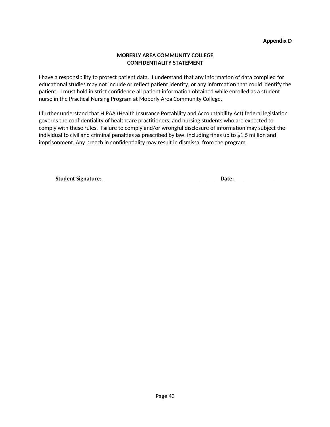#### **MOBERLY AREA COMMUNITY COLLEGE CONFIDENTIALITY STATEMENT**

I have a responsibility to protect patient data. I understand that any information of data compiled for educational studies may not include or reflect patient identity, or any information that could identify the patient. I must hold in strict confidence all patient information obtained while enrolled as a student nurse in the Practical Nursing Program at Moberly Area Community College.

I further understand that HIPAA (Health Insurance Portability and Accountability Act) federal legislation governs the confidentiality of healthcare practitioners, and nursing students who are expected to comply with these rules. Failure to comply and/or wrongful disclosure of information may subject the individual to civil and criminal penalties as prescribed by law, including fines up to \$1.5 million and imprisonment. Any breech in confidentiality may result in dismissal from the program.

| <b>Student Signature:</b> |  |
|---------------------------|--|
|                           |  |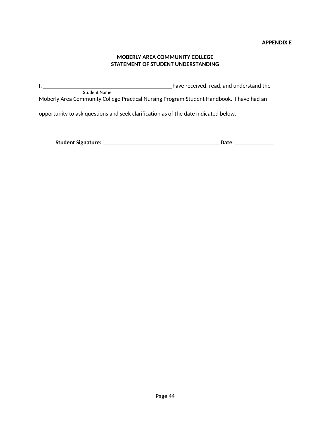#### **APPENDIX E**

#### **MOBERLY AREA COMMUNITY COLLEGE STATEMENT OF STUDENT UNDERSTANDING**

I, have received, read, and understand the Student Name

Moberly Area Community College Practical Nursing Program Student Handbook. I have had an

opportunity to ask questions and seek clarification as of the date indicated below.

| <b>Student Signature:</b> |
|---------------------------|
|---------------------------|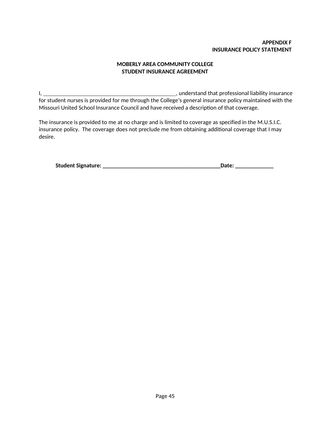## **APPENDIX F INSURANCE POLICY STATEMENT**

## **MOBERLY AREA COMMUNITY COLLEGE STUDENT INSURANCE AGREEMENT**

I, , understand that professional liability insurance for student nurses is provided for me through the College's general insurance policy maintained with the Missouri United School Insurance Council and have received a description of that coverage.

The insurance is provided to me at no charge and is limited to coverage as specified in the M.U.S.I.C. insurance policy. The coverage does not preclude me from obtaining additional coverage that I may desire.

| <b>Student Signature:</b> |  |  |
|---------------------------|--|--|
|---------------------------|--|--|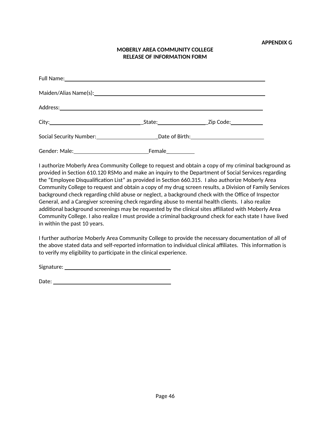## **MOBERLY AREA COMMUNITY COLLEGE RELEASE OF INFORMATION FORM**

| Gender: Male: | Female |  |
|---------------|--------|--|

I authorize Moberly Area Community College to request and obtain a copy of my criminal background as provided in Section 610.120 RSMo and make an inquiry to the Department of Social Services regarding the "Employee Disqualification List" as provided in Section 660.315. I also authorize Moberly Area Community College to request and obtain a copy of my drug screen results, a Division of Family Services background check regarding child abuse or neglect, a background check with the Office of Inspector General, and a Caregiver screening check regarding abuse to mental health clients. I also realize additional background screenings may be requested by the clinical sites affiliated with Moberly Area Community College. I also realize I must provide a criminal background check for each state I have lived in within the past 10 years.

I further authorize Moberly Area Community College to provide the necessary documentation of all of the above stated data and self-reported information to individual clinical affiliates. This information is to verify my eligibility to participate in the clinical experience.

Signature:

| Date:<br>$-1$ |  |  |
|---------------|--|--|
|               |  |  |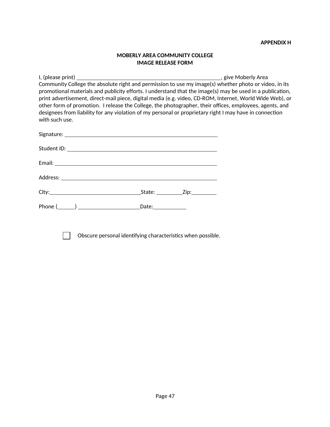#### **APPENDIX H**

#### **MOBERLY AREA COMMUNITY COLLEGE IMAGE RELEASE FORM**

I, (please print) , give Moberly Area Community College the absolute right and permission to use my image(s) whether photo or video, in its promotional materials and publicity efforts. I understand that the image(s) may be used in a publication, print advertisement, direct-mail piece, digital media (e.g. video, CD-ROM, Internet, World Wide Web), or other form of promotion. I release the College, the photographer, their offices, employees, agents, and designees from liability for any violation of my personal or proprietary right I may have in connection with such use.

| Date: $\_\_$ |  |
|--------------|--|

Obscure personal identifying characteristics when possible.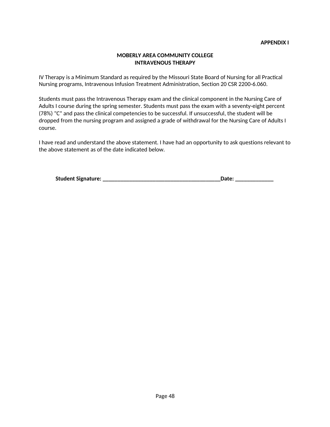#### **MOBERLY AREA COMMUNITY COLLEGE INTRAVENOUS THERAPY**

IV Therapy is a Minimum Standard as required by the Missouri State Board of Nursing for all Practical Nursing programs, Intravenous Infusion Treatment Administration, Section 20 CSR 2200-6.060.

Students must pass the Intravenous Therapy exam and the clinical component in the Nursing Care of Adults I course during the spring semester. Students must pass the exam with a seventy-eight percent (78%) "C" and pass the clinical competencies to be successful. If unsuccessful, the student will be dropped from the nursing program and assigned a grade of withdrawal for the Nursing Care of Adults I course.

I have read and understand the above statement. I have had an opportunity to ask questions relevant to the above statement as of the date indicated below.

| <b>Student Signature:</b> |  |
|---------------------------|--|
|---------------------------|--|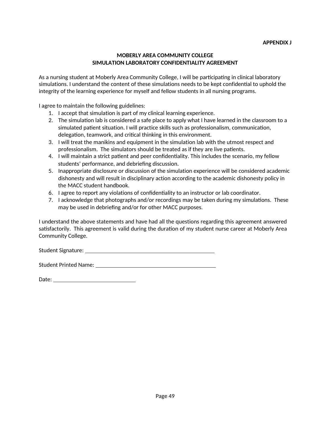#### **APPENDIX J**

#### **MOBERLY AREA COMMUNITY COLLEGE SIMULATION LABORATORY CONFIDENTIALITY AGREEMENT**

As a nursing student at Moberly Area Community College, I will be participating in clinical laboratory simulations. I understand the content of these simulations needs to be kept confidential to uphold the integrity of the learning experience for myself and fellow students in all nursing programs.

I agree to maintain the following guidelines:

- 1. I accept that simulation is part of my clinical learning experience.
- 2. The simulation lab is considered a safe place to apply what I have learned in the classroom to a simulated patient situation. I will practice skills such as professionalism, communication, delegation, teamwork, and critical thinking in this environment.
- 3. I will treat the manikins and equipment in the simulation lab with the utmost respect and professionalism. The simulators should be treated as if they are live patients.
- 4. I will maintain a strict patient and peer confidentiality. This includes the scenario, my fellow students' performance, and debriefing discussion.
- 5. Inappropriate disclosure or discussion of the simulation experience will be considered academic dishonesty and will result in disciplinary action according to the academic dishonesty policy in the MACC student handbook.
- 6. I agree to report any violations of confidentiality to an instructor or lab coordinator.
- 7. I acknowledge that photographs and/or recordings may be taken during my simulations. These may be used in debriefing and/or for other MACC purposes.

I understand the above statements and have had all the questions regarding this agreement answered satisfactorily. This agreement is valid during the duration of my student nurse career at Moberly Area Community College.

Student Signature:

Student Printed Name:

| ∍<br>$\cdots$<br><br>-<br><br>-<br>-- |  |
|---------------------------------------|--|
|                                       |  |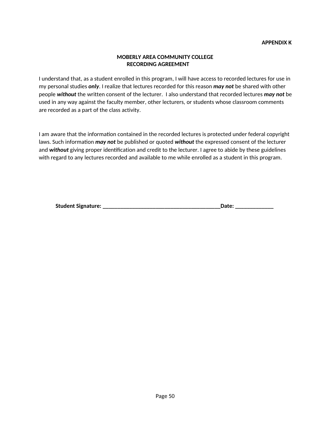#### **MOBERLY AREA COMMUNITY COLLEGE RECORDING AGREEMENT**

I understand that, as a student enrolled in this program, I will have access to recorded lectures for use in my personal studies *only*. I realize that lectures recorded for this reason *may not* be shared with other people *without* the written consent of the lecturer. I also understand that recorded lectures *may not* be used in any way against the faculty member, other lecturers, or students whose classroom comments are recorded as a part of the class activity.

I am aware that the information contained in the recorded lectures is protected under federal copyright laws. Such information *may not* be published or quoted *without* the expressed consent of the lecturer and *without* giving proper identification and credit to the lecturer. I agree to abide by these guidelines with regard to any lectures recorded and available to me while enrolled as a student in this program.

| <b>Student Signature:</b> |  |
|---------------------------|--|
|                           |  |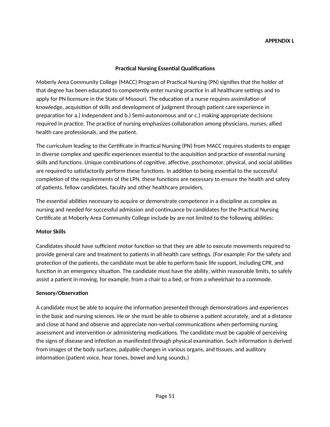#### **Practical Nursing Essential Qualifications**

Moberly Area Community College (MACC) Program of Practical Nursing (PN) signifies that the holder of that degree has been educated to competently enter nursing practice in all healthcare settings and to apply for PN licensure in the State of Missouri. The education of a nurse requires assimilation of knowledge, acquisition of skills and development of judgment through patient care experience in preparation for a.) Independent and b.) Semi-autonomous and or c.) making appropriate decisions required in practice. The practice of nursing emphasizes collaboration among physicians, nurses, allied health care professionals, and the patient.

The curriculum leading to the Certificate in Practical Nursing (PN) from MACC requires students to engage in diverse complex and specific experiences essential to the acquisition and practice of essential nursing skills and functions. Unique combinations of cognitive, affective, psychomotor, physical, and social abilities are required to satisfactorily perform these functions. In addition to being essential to the successful completion of the requirements of the LPN, these functions are necessary to ensure the health and safety of patients, fellow candidates, faculty and other healthcare providers.

The essential abilities necessary to acquire or demonstrate competence in a discipline as complex as nursing and needed for successful admission and continuance by candidates for the Practical Nursing Certificate at Moberly Area Community College include by are not limited to the following abilities:

#### **Motor Skills**

Candidates should have sufficient motor function so that they are able to execute movements required to provide general care and treatment to patients in all health care settings. (For example: For the safety and protection of the patients, the candidate must be able to perform basic life support, including CPR, and function in an emergency situation. The candidate must have the ability, within reasonable limits, to safely assist a patient in moving, for example, from a chair to a bed, or from a wheelchair to a commode.

#### **Sensory/Observation**

A candidate must be able to acquire the information presented through demonstrations and experiences in the basic and nursing sciences. He or she must be able to observe a patient accurately, and at a distance and close at hand and observe and appreciate non-verbal communications when performing nursing assessment and intervention or administering medications. The candidate must be capable of perceiving the signs of disease and infection as manifested through physical examination. Such information is derived from images of the body surfaces, palpable changes in various organs, and tissues, and auditory information (patient voice, hear tones, bowel and lung sounds.)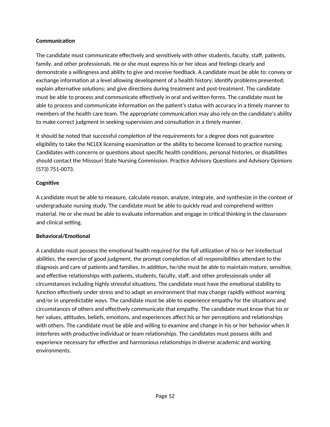## **Communication**

The candidate must communicate effectively and sensitively with other students, faculty, staff, patients, family, and other professionals. He or she must express his or her ideas and feelings clearly and demonstrate a willingness and ability to give and receive feedback. A candidate must be able to: convey or exchange information at a level allowing development of a health history; identify problems presented; explain alternative solutions; and give directions during treatment and post-treatment. The candidate must be able to process and communicate effectively in oral and written forms. The candidate must be able to process and communicate information on the patient's status with accuracy in a timely manner to members of the health care team. The appropriate communication may also rely on the candidate's ability to make correct judgment in seeking supervision and consultation in a timely manner.

It should be noted that successful completion of the requirements for a degree does not guarantee eligibility to take the NCLEX licensing examination or the ability to become licensed to practice nursing. Candidates with concerns or questions about specific health conditions, personal histories, or disabilities should contact the Missouri State Nursing Commission. Practice Advisory Questions and Advisory Opinions (573) 751-0073.

#### **Cognitive**

A candidate must be able to measure, calculate reason, analyze, integrate, and synthesize in the context of undergraduate nursing study. The candidate must be able to quickly read and comprehend written material. He or she must be able to evaluate information and engage in critical thinking in the classroom and clinical setting.

## **Behavioral/Emotional**

A candidate must possess the emotional health required for the full utilization of his or her intellectual abilities, the exercise of good judgment, the prompt completion of all responsibilities attendant to the diagnosis and care of patients and families. In addition, he/she must be able to maintain mature, sensitive, and effective relationships with patients, students, faculty, staff, and other professionals under all circumstances including highly stressful situations. The candidate must have the emotional stability to function effectively under stress and to adapt an environment that may change rapidly without warning and/or in unpredictable ways. The candidate must be able to experience empathy for the situations and circumstances of others and effectively communicate that empathy. The candidate must know that his or her values, attitudes, beliefs, emotions, and experiences affect his or her perceptions and relationships with others. The candidate must be able and willing to examine and change in his or her behavior when it interferes with productive individual or team relationships. The candidates must possess skills and experience necessary for effective and harmonious relationships in diverse academic and working environments.